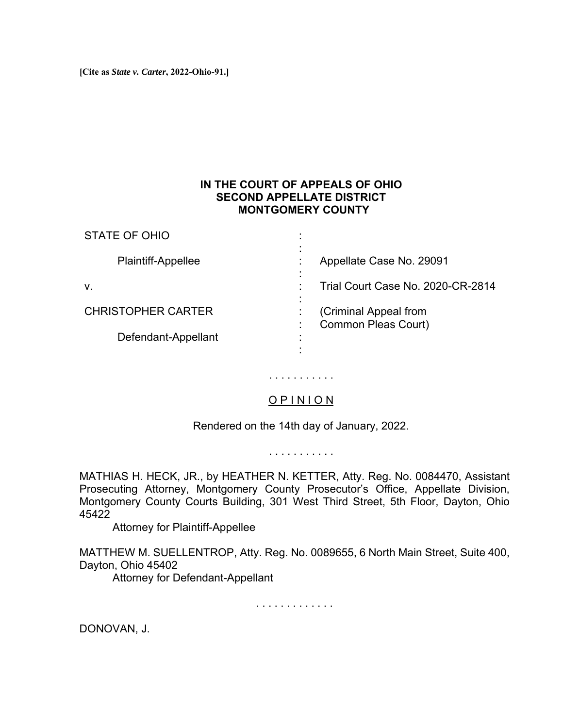**[Cite as** *State v. Carter***, 2022-Ohio-91.]**

STATE OF OHIO

## **IN THE COURT OF APPEALS OF OHIO SECOND APPELLATE DISTRICT MONTGOMERY COUNTY**

| <b>STATE OF OHIO</b>      |                                              |
|---------------------------|----------------------------------------------|
| Plaintiff-Appellee        | Appellate Case No. 29091                     |
| v.                        | Trial Court Case No. 2020-CR-2814            |
| <b>CHRISTOPHER CARTER</b> | (Criminal Appeal from<br>Common Pleas Court) |
| Defendant-Appellant       |                                              |
|                           |                                              |

## O P I N I O N

. . . . . . . . . . .

Rendered on the 14th day of January, 2022.

. . . . . . . . . . .

MATHIAS H. HECK, JR., by HEATHER N. KETTER, Atty. Reg. No. 0084470, Assistant Prosecuting Attorney, Montgomery County Prosecutor's Office, Appellate Division, Montgomery County Courts Building, 301 West Third Street, 5th Floor, Dayton, Ohio 45422

Attorney for Plaintiff-Appellee

MATTHEW M. SUELLENTROP, Atty. Reg. No. 0089655, 6 North Main Street, Suite 400, Dayton, Ohio 45402

Attorney for Defendant-Appellant

. . . . . . . . . . . . .

DONOVAN, J.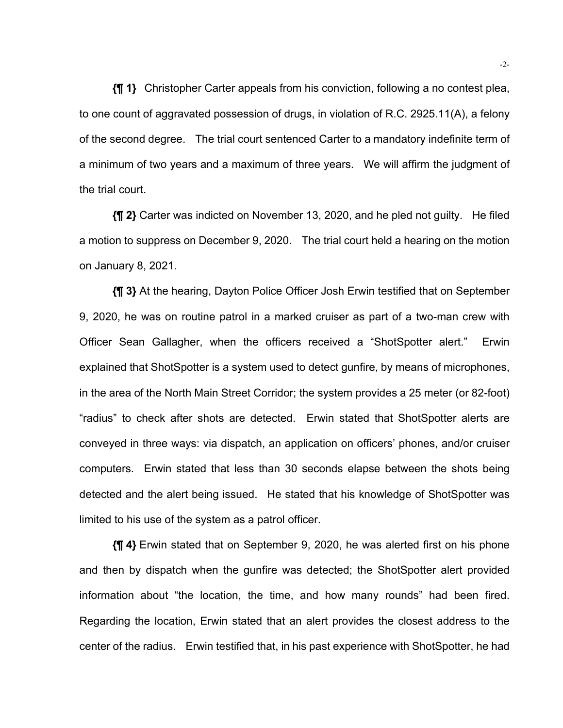**{¶ 1}** Christopher Carter appeals from his conviction, following a no contest plea, to one count of aggravated possession of drugs, in violation of R.C. 2925.11(A), a felony of the second degree. The trial court sentenced Carter to a mandatory indefinite term of a minimum of two years and a maximum of three years. We will affirm the judgment of the trial court.

**{¶ 2}** Carter was indicted on November 13, 2020, and he pled not guilty. He filed a motion to suppress on December 9, 2020. The trial court held a hearing on the motion on January 8, 2021.

**{¶ 3}** At the hearing, Dayton Police Officer Josh Erwin testified that on September 9, 2020, he was on routine patrol in a marked cruiser as part of a two-man crew with Officer Sean Gallagher, when the officers received a "ShotSpotter alert." Erwin explained that ShotSpotter is a system used to detect gunfire, by means of microphones, in the area of the North Main Street Corridor; the system provides a 25 meter (or 82-foot) "radius" to check after shots are detected. Erwin stated that ShotSpotter alerts are conveyed in three ways: via dispatch, an application on officers' phones, and/or cruiser computers. Erwin stated that less than 30 seconds elapse between the shots being detected and the alert being issued. He stated that his knowledge of ShotSpotter was limited to his use of the system as a patrol officer.

**{¶ 4}** Erwin stated that on September 9, 2020, he was alerted first on his phone and then by dispatch when the gunfire was detected; the ShotSpotter alert provided information about "the location, the time, and how many rounds" had been fired. Regarding the location, Erwin stated that an alert provides the closest address to the center of the radius. Erwin testified that, in his past experience with ShotSpotter, he had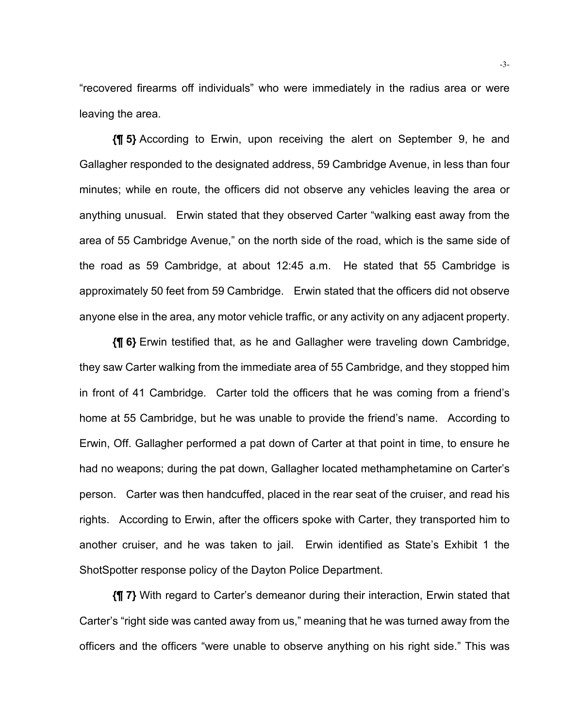"recovered firearms off individuals" who were immediately in the radius area or were leaving the area.

**{¶ 5}** According to Erwin, upon receiving the alert on September 9, he and Gallagher responded to the designated address, 59 Cambridge Avenue, in less than four minutes; while en route, the officers did not observe any vehicles leaving the area or anything unusual. Erwin stated that they observed Carter "walking east away from the area of 55 Cambridge Avenue," on the north side of the road, which is the same side of the road as 59 Cambridge, at about 12:45 a.m. He stated that 55 Cambridge is approximately 50 feet from 59 Cambridge. Erwin stated that the officers did not observe anyone else in the area, any motor vehicle traffic, or any activity on any adjacent property.

**{¶ 6}** Erwin testified that, as he and Gallagher were traveling down Cambridge, they saw Carter walking from the immediate area of 55 Cambridge, and they stopped him in front of 41 Cambridge. Carter told the officers that he was coming from a friend's home at 55 Cambridge, but he was unable to provide the friend's name. According to Erwin, Off. Gallagher performed a pat down of Carter at that point in time, to ensure he had no weapons; during the pat down, Gallagher located methamphetamine on Carter's person. Carter was then handcuffed, placed in the rear seat of the cruiser, and read his rights. According to Erwin, after the officers spoke with Carter, they transported him to another cruiser, and he was taken to jail. Erwin identified as State's Exhibit 1 the ShotSpotter response policy of the Dayton Police Department.

**{¶ 7}** With regard to Carter's demeanor during their interaction, Erwin stated that Carter's "right side was canted away from us," meaning that he was turned away from the officers and the officers "were unable to observe anything on his right side." This was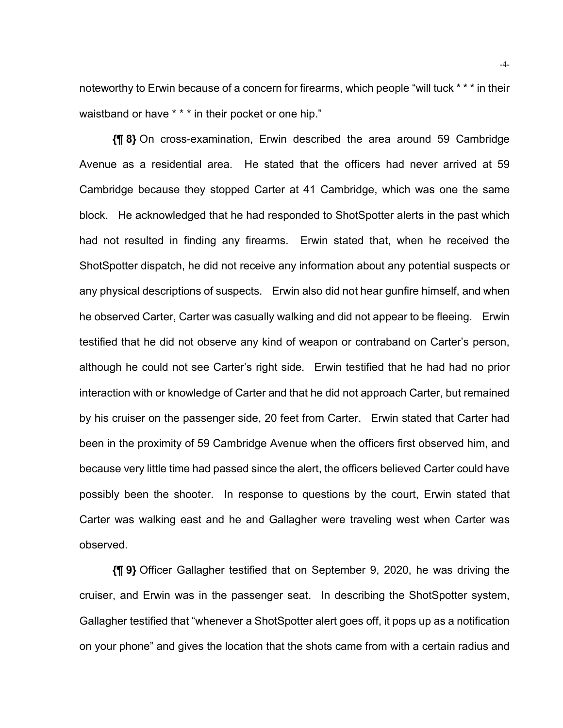noteworthy to Erwin because of a concern for firearms, which people "will tuck \* \* \* in their waistband or have \* \* \* in their pocket or one hip."

**{¶ 8}** On cross-examination, Erwin described the area around 59 Cambridge Avenue as a residential area. He stated that the officers had never arrived at 59 Cambridge because they stopped Carter at 41 Cambridge, which was one the same block. He acknowledged that he had responded to ShotSpotter alerts in the past which had not resulted in finding any firearms. Erwin stated that, when he received the ShotSpotter dispatch, he did not receive any information about any potential suspects or any physical descriptions of suspects. Erwin also did not hear gunfire himself, and when he observed Carter, Carter was casually walking and did not appear to be fleeing. Erwin testified that he did not observe any kind of weapon or contraband on Carter's person, although he could not see Carter's right side. Erwin testified that he had had no prior interaction with or knowledge of Carter and that he did not approach Carter, but remained by his cruiser on the passenger side, 20 feet from Carter. Erwin stated that Carter had been in the proximity of 59 Cambridge Avenue when the officers first observed him, and because very little time had passed since the alert, the officers believed Carter could have possibly been the shooter. In response to questions by the court, Erwin stated that Carter was walking east and he and Gallagher were traveling west when Carter was observed.

**{¶ 9}** Officer Gallagher testified that on September 9, 2020, he was driving the cruiser, and Erwin was in the passenger seat. In describing the ShotSpotter system, Gallagher testified that "whenever a ShotSpotter alert goes off, it pops up as a notification on your phone" and gives the location that the shots came from with a certain radius and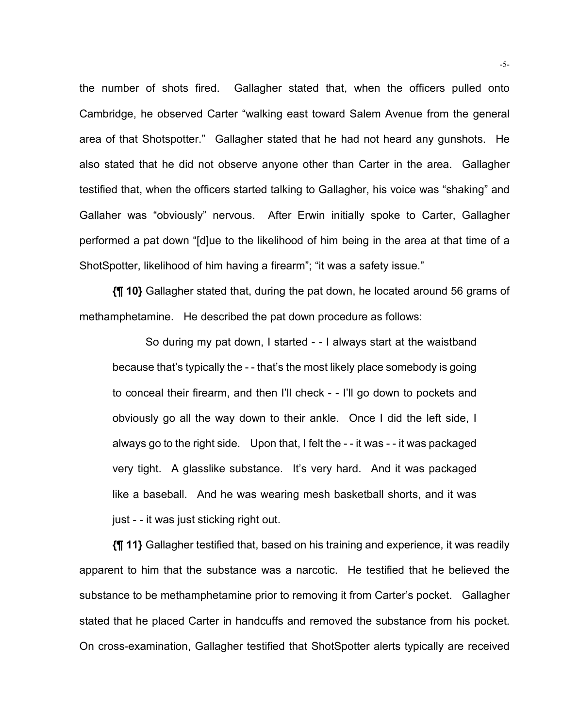the number of shots fired. Gallagher stated that, when the officers pulled onto Cambridge, he observed Carter "walking east toward Salem Avenue from the general area of that Shotspotter." Gallagher stated that he had not heard any gunshots. He also stated that he did not observe anyone other than Carter in the area. Gallagher testified that, when the officers started talking to Gallagher, his voice was "shaking" and Gallaher was "obviously" nervous. After Erwin initially spoke to Carter, Gallagher performed a pat down "[d]ue to the likelihood of him being in the area at that time of a ShotSpotter, likelihood of him having a firearm"; "it was a safety issue."

**{¶ 10}** Gallagher stated that, during the pat down, he located around 56 grams of methamphetamine. He described the pat down procedure as follows:

So during my pat down, I started - - I always start at the waistband because that's typically the - - that's the most likely place somebody is going to conceal their firearm, and then I'll check - - I'll go down to pockets and obviously go all the way down to their ankle. Once I did the left side, I always go to the right side. Upon that, I felt the - - it was - - it was packaged very tight. A glasslike substance. It's very hard. And it was packaged like a baseball. And he was wearing mesh basketball shorts, and it was just - - it was just sticking right out.

**{¶ 11}** Gallagher testified that, based on his training and experience, it was readily apparent to him that the substance was a narcotic. He testified that he believed the substance to be methamphetamine prior to removing it from Carter's pocket. Gallagher stated that he placed Carter in handcuffs and removed the substance from his pocket. On cross-examination, Gallagher testified that ShotSpotter alerts typically are received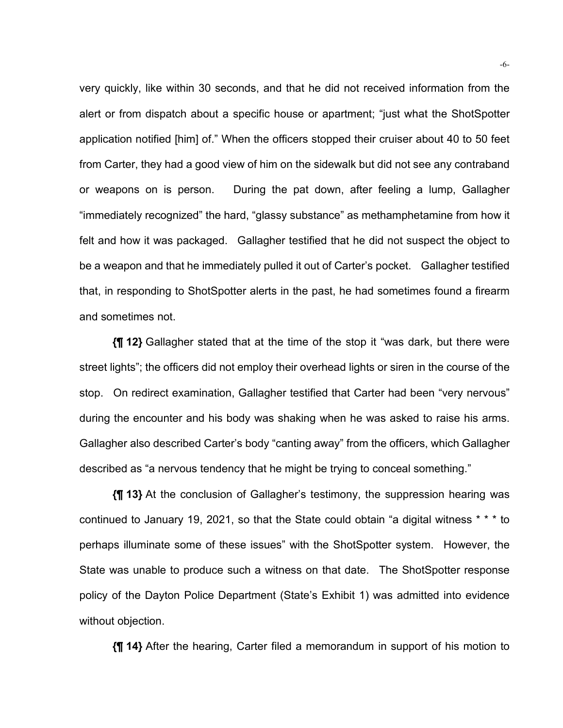very quickly, like within 30 seconds, and that he did not received information from the alert or from dispatch about a specific house or apartment; "just what the ShotSpotter application notified [him] of." When the officers stopped their cruiser about 40 to 50 feet from Carter, they had a good view of him on the sidewalk but did not see any contraband or weapons on is person. During the pat down, after feeling a lump, Gallagher "immediately recognized" the hard, "glassy substance" as methamphetamine from how it felt and how it was packaged. Gallagher testified that he did not suspect the object to be a weapon and that he immediately pulled it out of Carter's pocket. Gallagher testified that, in responding to ShotSpotter alerts in the past, he had sometimes found a firearm and sometimes not.

**{¶ 12}** Gallagher stated that at the time of the stop it "was dark, but there were street lights"; the officers did not employ their overhead lights or siren in the course of the stop. On redirect examination, Gallagher testified that Carter had been "very nervous" during the encounter and his body was shaking when he was asked to raise his arms. Gallagher also described Carter's body "canting away" from the officers, which Gallagher described as "a nervous tendency that he might be trying to conceal something."

**{¶ 13}** At the conclusion of Gallagher's testimony, the suppression hearing was continued to January 19, 2021, so that the State could obtain "a digital witness \* \* \* to perhaps illuminate some of these issues" with the ShotSpotter system. However, the State was unable to produce such a witness on that date. The ShotSpotter response policy of the Dayton Police Department (State's Exhibit 1) was admitted into evidence without objection.

**{¶ 14}** After the hearing, Carter filed a memorandum in support of his motion to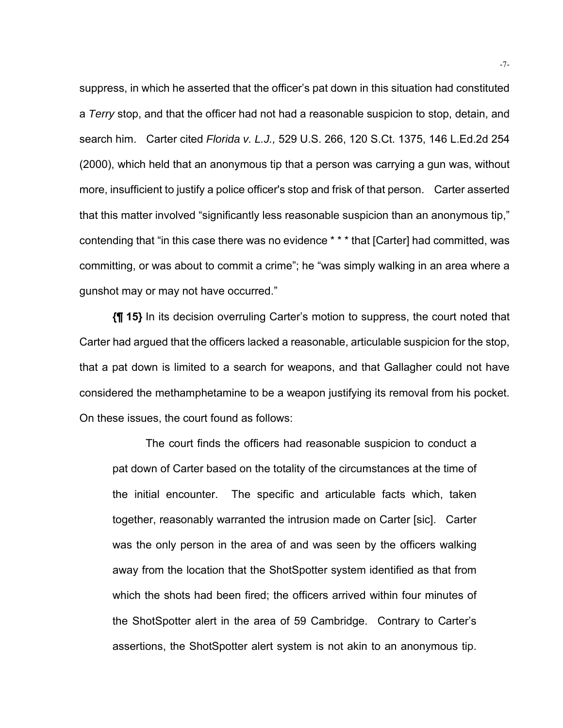suppress, in which he asserted that the officer's pat down in this situation had constituted a *Terry* stop, and that the officer had not had a reasonable suspicion to stop, detain, and search him. Carter cited *Florida v. L.J.,* 529 U.S. 266, 120 S.Ct. 1375, 146 L.Ed.2d 254 (2000), which held that an anonymous tip that a person was carrying a gun was, without more, insufficient to justify a police officer's stop and frisk of that person. Carter asserted that this matter involved "significantly less reasonable suspicion than an anonymous tip," contending that "in this case there was no evidence \* \* \* that [Carter] had committed, was committing, or was about to commit a crime"; he "was simply walking in an area where a gunshot may or may not have occurred."

**{¶ 15}** In its decision overruling Carter's motion to suppress, the court noted that Carter had argued that the officers lacked a reasonable, articulable suspicion for the stop, that a pat down is limited to a search for weapons, and that Gallagher could not have considered the methamphetamine to be a weapon justifying its removal from his pocket. On these issues, the court found as follows:

The court finds the officers had reasonable suspicion to conduct a pat down of Carter based on the totality of the circumstances at the time of the initial encounter. The specific and articulable facts which, taken together, reasonably warranted the intrusion made on Carter [sic]. Carter was the only person in the area of and was seen by the officers walking away from the location that the ShotSpotter system identified as that from which the shots had been fired; the officers arrived within four minutes of the ShotSpotter alert in the area of 59 Cambridge. Contrary to Carter's assertions, the ShotSpotter alert system is not akin to an anonymous tip.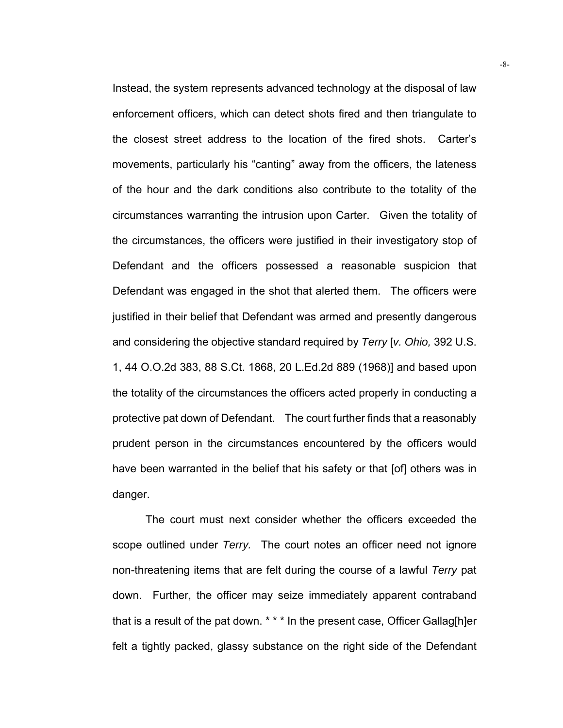Instead, the system represents advanced technology at the disposal of law enforcement officers, which can detect shots fired and then triangulate to the closest street address to the location of the fired shots. Carter's movements, particularly his "canting" away from the officers, the lateness of the hour and the dark conditions also contribute to the totality of the circumstances warranting the intrusion upon Carter. Given the totality of the circumstances, the officers were justified in their investigatory stop of Defendant and the officers possessed a reasonable suspicion that Defendant was engaged in the shot that alerted them. The officers were justified in their belief that Defendant was armed and presently dangerous and considering the objective standard required by *Terry* [*v. Ohio,* 392 U.S. 1, 44 O.O.2d 383, 88 S.Ct. 1868, 20 L.Ed.2d 889 (1968)] and based upon the totality of the circumstances the officers acted properly in conducting a protective pat down of Defendant. The court further finds that a reasonably prudent person in the circumstances encountered by the officers would have been warranted in the belief that his safety or that [of] others was in danger.

The court must next consider whether the officers exceeded the scope outlined under *Terry.* The court notes an officer need not ignore non-threatening items that are felt during the course of a lawful *Terry* pat down. Further, the officer may seize immediately apparent contraband that is a result of the pat down. \* \* \* In the present case, Officer Gallag[h]er felt a tightly packed, glassy substance on the right side of the Defendant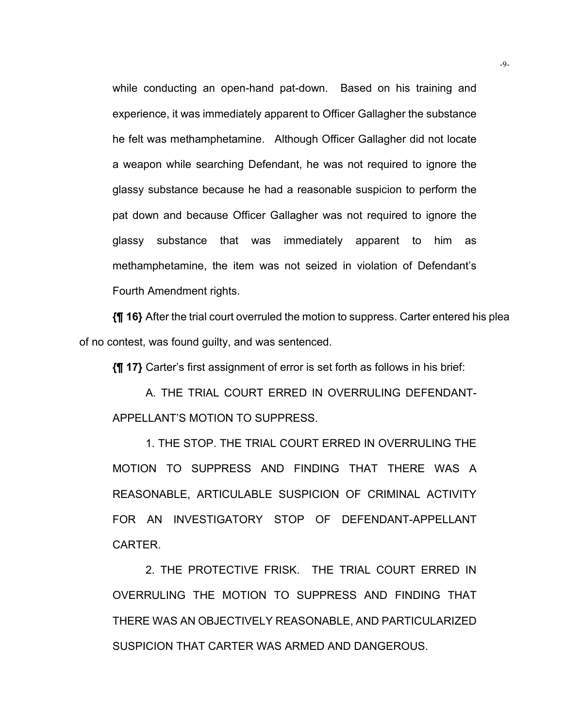while conducting an open-hand pat-down. Based on his training and experience, it was immediately apparent to Officer Gallagher the substance he felt was methamphetamine. Although Officer Gallagher did not locate a weapon while searching Defendant, he was not required to ignore the glassy substance because he had a reasonable suspicion to perform the pat down and because Officer Gallagher was not required to ignore the glassy substance that was immediately apparent to him as methamphetamine, the item was not seized in violation of Defendant's Fourth Amendment rights.

**{¶ 16}** After the trial court overruled the motion to suppress. Carter entered his plea of no contest, was found guilty, and was sentenced.

**{¶ 17}** Carter's first assignment of error is set forth as follows in his brief:

A. THE TRIAL COURT ERRED IN OVERRULING DEFENDANT-APPELLANT'S MOTION TO SUPPRESS.

 1. THE STOP. THE TRIAL COURT ERRED IN OVERRULING THE MOTION TO SUPPRESS AND FINDING THAT THERE WAS A REASONABLE, ARTICULABLE SUSPICION OF CRIMINAL ACTIVITY FOR AN INVESTIGATORY STOP OF DEFENDANT-APPELLANT CARTER.

 2. THE PROTECTIVE FRISK. THE TRIAL COURT ERRED IN OVERRULING THE MOTION TO SUPPRESS AND FINDING THAT THERE WAS AN OBJECTIVELY REASONABLE, AND PARTICULARIZED SUSPICION THAT CARTER WAS ARMED AND DANGEROUS.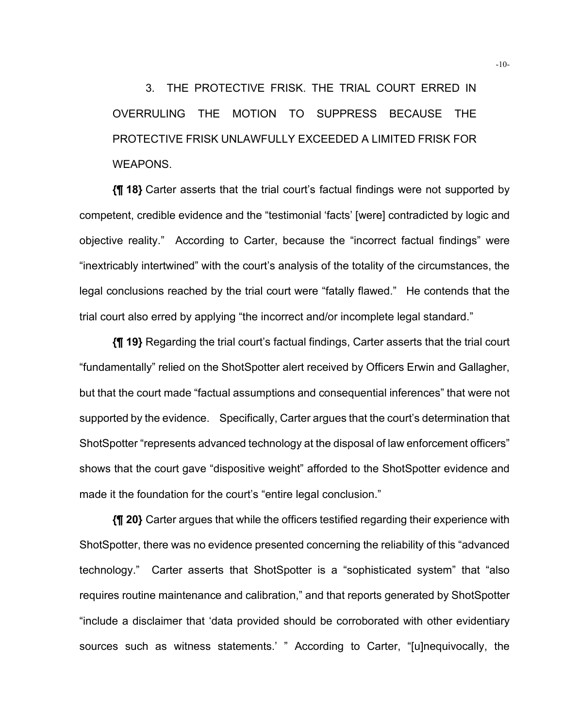3. THE PROTECTIVE FRISK. THE TRIAL COURT ERRED IN OVERRULING THE MOTION TO SUPPRESS BECAUSE THE PROTECTIVE FRISK UNLAWFULLY EXCEEDED A LIMITED FRISK FOR WEAPONS.

**{¶ 18}** Carter asserts that the trial court's factual findings were not supported by competent, credible evidence and the "testimonial 'facts' [were] contradicted by logic and objective reality." According to Carter, because the "incorrect factual findings" were "inextricably intertwined" with the court's analysis of the totality of the circumstances, the legal conclusions reached by the trial court were "fatally flawed." He contends that the trial court also erred by applying "the incorrect and/or incomplete legal standard."

**{¶ 19}** Regarding the trial court's factual findings, Carter asserts that the trial court "fundamentally" relied on the ShotSpotter alert received by Officers Erwin and Gallagher, but that the court made "factual assumptions and consequential inferences" that were not supported by the evidence. Specifically, Carter argues that the court's determination that ShotSpotter "represents advanced technology at the disposal of law enforcement officers" shows that the court gave "dispositive weight" afforded to the ShotSpotter evidence and made it the foundation for the court's "entire legal conclusion."

**{¶ 20}** Carter argues that while the officers testified regarding their experience with ShotSpotter, there was no evidence presented concerning the reliability of this "advanced technology." Carter asserts that ShotSpotter is a "sophisticated system" that "also requires routine maintenance and calibration," and that reports generated by ShotSpotter "include a disclaimer that 'data provided should be corroborated with other evidentiary sources such as witness statements.' " According to Carter, "[u]nequivocally, the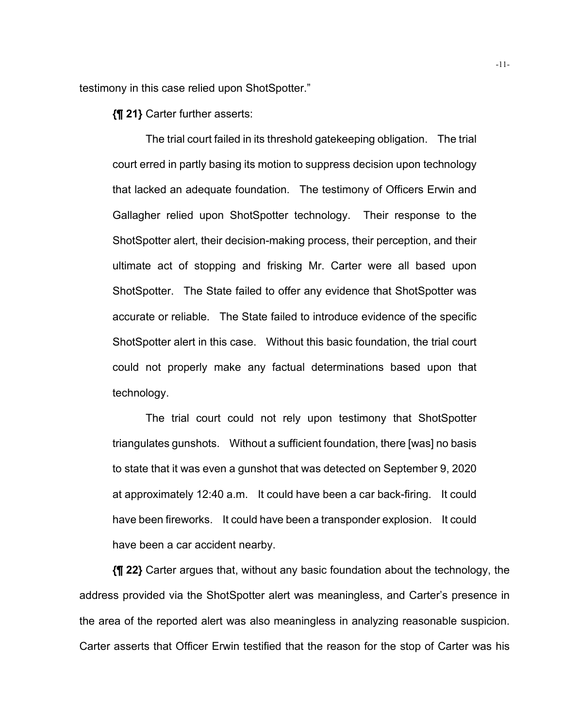testimony in this case relied upon ShotSpotter."

**{¶ 21}** Carter further asserts:

The trial court failed in its threshold gatekeeping obligation. The trial court erred in partly basing its motion to suppress decision upon technology that lacked an adequate foundation. The testimony of Officers Erwin and Gallagher relied upon ShotSpotter technology. Their response to the ShotSpotter alert, their decision-making process, their perception, and their ultimate act of stopping and frisking Mr. Carter were all based upon ShotSpotter. The State failed to offer any evidence that ShotSpotter was accurate or reliable. The State failed to introduce evidence of the specific ShotSpotter alert in this case. Without this basic foundation, the trial court could not properly make any factual determinations based upon that technology.

 The trial court could not rely upon testimony that ShotSpotter triangulates gunshots. Without a sufficient foundation, there [was] no basis to state that it was even a gunshot that was detected on September 9, 2020 at approximately 12:40 a.m. It could have been a car back-firing. It could have been fireworks. It could have been a transponder explosion. It could have been a car accident nearby.

**{¶ 22}** Carter argues that, without any basic foundation about the technology, the address provided via the ShotSpotter alert was meaningless, and Carter's presence in the area of the reported alert was also meaningless in analyzing reasonable suspicion. Carter asserts that Officer Erwin testified that the reason for the stop of Carter was his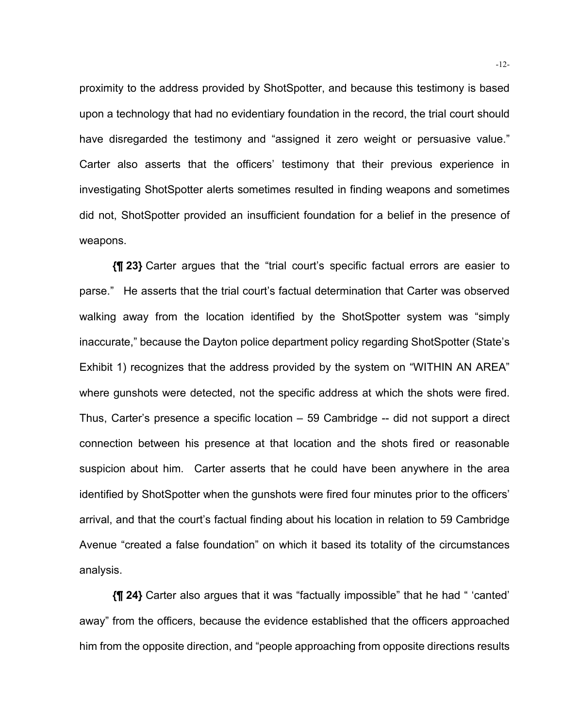proximity to the address provided by ShotSpotter, and because this testimony is based upon a technology that had no evidentiary foundation in the record, the trial court should have disregarded the testimony and "assigned it zero weight or persuasive value." Carter also asserts that the officers' testimony that their previous experience in investigating ShotSpotter alerts sometimes resulted in finding weapons and sometimes did not, ShotSpotter provided an insufficient foundation for a belief in the presence of weapons.

**{¶ 23}** Carter argues that the "trial court's specific factual errors are easier to parse." He asserts that the trial court's factual determination that Carter was observed walking away from the location identified by the ShotSpotter system was "simply inaccurate," because the Dayton police department policy regarding ShotSpotter (State's Exhibit 1) recognizes that the address provided by the system on "WITHIN AN AREA" where gunshots were detected, not the specific address at which the shots were fired. Thus, Carter's presence a specific location – 59 Cambridge -- did not support a direct connection between his presence at that location and the shots fired or reasonable suspicion about him. Carter asserts that he could have been anywhere in the area identified by ShotSpotter when the gunshots were fired four minutes prior to the officers' arrival, and that the court's factual finding about his location in relation to 59 Cambridge Avenue "created a false foundation" on which it based its totality of the circumstances analysis.

**{¶ 24}** Carter also argues that it was "factually impossible" that he had " 'canted' away" from the officers, because the evidence established that the officers approached him from the opposite direction, and "people approaching from opposite directions results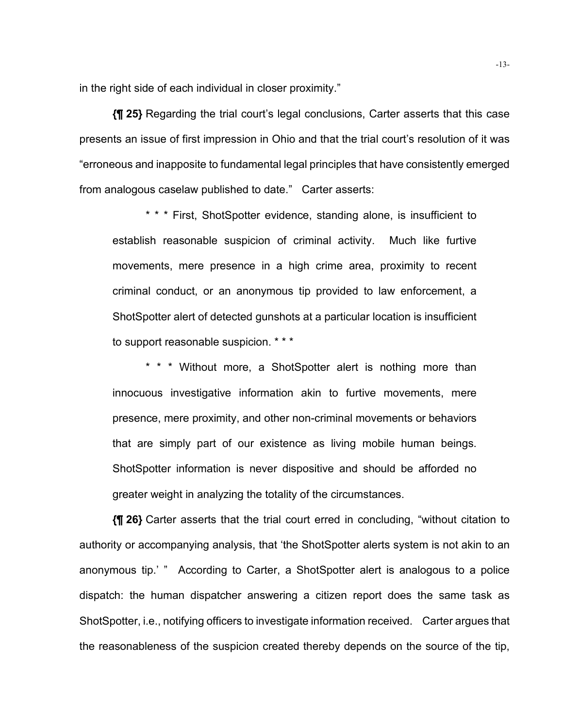in the right side of each individual in closer proximity."

**{¶ 25}** Regarding the trial court's legal conclusions, Carter asserts that this case presents an issue of first impression in Ohio and that the trial court's resolution of it was "erroneous and inapposite to fundamental legal principles that have consistently emerged from analogous caselaw published to date." Carter asserts:

\* \* \* First, ShotSpotter evidence, standing alone, is insufficient to establish reasonable suspicion of criminal activity. Much like furtive movements, mere presence in a high crime area, proximity to recent criminal conduct, or an anonymous tip provided to law enforcement, a ShotSpotter alert of detected gunshots at a particular location is insufficient to support reasonable suspicion. \* \* \*

\* \* \* Without more, a ShotSpotter alert is nothing more than innocuous investigative information akin to furtive movements, mere presence, mere proximity, and other non-criminal movements or behaviors that are simply part of our existence as living mobile human beings. ShotSpotter information is never dispositive and should be afforded no greater weight in analyzing the totality of the circumstances.

**{¶ 26}** Carter asserts that the trial court erred in concluding, "without citation to authority or accompanying analysis, that 'the ShotSpotter alerts system is not akin to an anonymous tip.' " According to Carter, a ShotSpotter alert is analogous to a police dispatch: the human dispatcher answering a citizen report does the same task as ShotSpotter, i.e., notifying officers to investigate information received. Carter argues that the reasonableness of the suspicion created thereby depends on the source of the tip,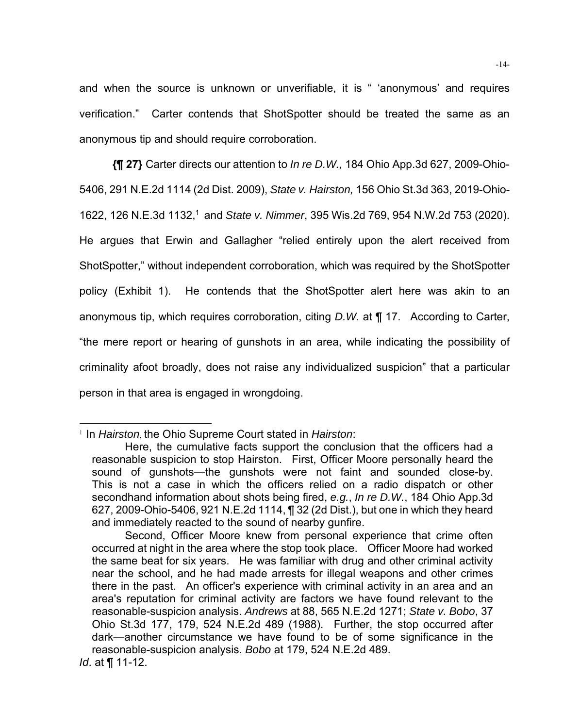and when the source is unknown or unverifiable, it is " 'anonymous' and requires verification." Carter contends that ShotSpotter should be treated the same as an anonymous tip and should require corroboration.

**{¶ 27}** Carter directs our attention to *In re D.W.,* 184 Ohio App.3d 627, 2009-Ohio-5406, 291 N.E.2d 1114 (2d Dist. 2009), *State v. Hairston,* 156 Ohio St.3d 363, 2019-Ohio-1622, 126 N.E.3d 1132,1 and *State v. Nimmer*, 395 Wis.2d 769, 954 N.W.2d 753 (2020). He argues that Erwin and Gallagher "relied entirely upon the alert received from ShotSpotter," without independent corroboration, which was required by the ShotSpotter policy (Exhibit 1). He contends that the ShotSpotter alert here was akin to an anonymous tip, which requires corroboration, citing *D.W.* at ¶ 17. According to Carter, "the mere report or hearing of gunshots in an area, while indicating the possibility of criminality afoot broadly, does not raise any individualized suspicion" that a particular person in that area is engaged in wrongdoing.

<sup>1</sup> In *Hairston*, the Ohio Supreme Court stated in *Hairston*:

Here, the cumulative facts support the conclusion that the officers had a reasonable suspicion to stop Hairston. First, Officer Moore personally heard the sound of gunshots—the gunshots were not faint and sounded close-by. This is not a case in which the officers relied on a radio dispatch or other secondhand information about shots being fired, *e.g.*, *In re D.W.*, 184 Ohio App.3d 627, 2009-Ohio-5406, 921 N.E.2d 1114, ¶ 32 (2d Dist.), but one in which they heard and immediately reacted to the sound of nearby gunfire.

Second, Officer Moore knew from personal experience that crime often occurred at night in the area where the stop took place. Officer Moore had worked the same beat for six years. He was familiar with drug and other criminal activity near the school, and he had made arrests for illegal weapons and other crimes there in the past. An officer's experience with criminal activity in an area and an area's reputation for criminal activity are factors we have found relevant to the reasonable-suspicion analysis. *Andrews* at 88, 565 N.E.2d 1271; *State v. Bobo*, 37 Ohio St.3d 177, 179, 524 N.E.2d 489 (1988). Further, the stop occurred after dark—another circumstance we have found to be of some significance in the reasonable-suspicion analysis. *Bobo* at 179, 524 N.E.2d 489. *Id*. at ¶ 11-12.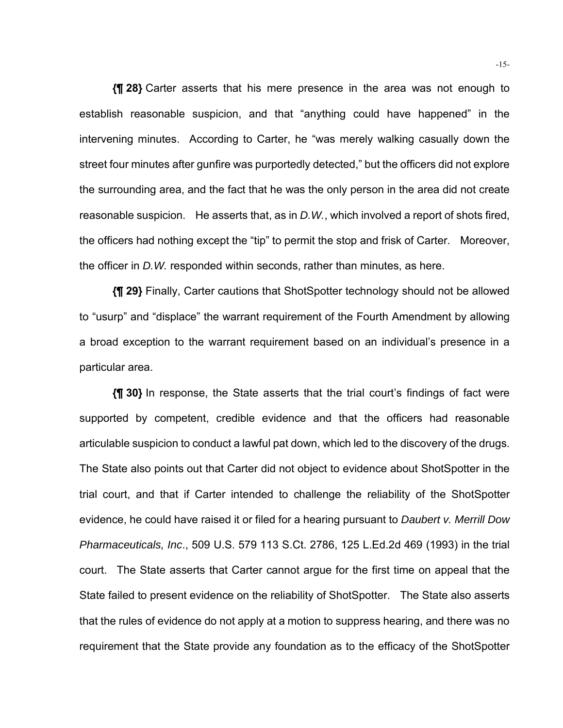**{¶ 28}** Carter asserts that his mere presence in the area was not enough to establish reasonable suspicion, and that "anything could have happened" in the intervening minutes. According to Carter, he "was merely walking casually down the street four minutes after gunfire was purportedly detected," but the officers did not explore the surrounding area, and the fact that he was the only person in the area did not create reasonable suspicion. He asserts that, as in *D.W.*, which involved a report of shots fired, the officers had nothing except the "tip" to permit the stop and frisk of Carter. Moreover, the officer in *D.W.* responded within seconds, rather than minutes, as here.

**{¶ 29}** Finally, Carter cautions that ShotSpotter technology should not be allowed to "usurp" and "displace" the warrant requirement of the Fourth Amendment by allowing a broad exception to the warrant requirement based on an individual's presence in a particular area.

**{¶ 30}** In response, the State asserts that the trial court's findings of fact were supported by competent, credible evidence and that the officers had reasonable articulable suspicion to conduct a lawful pat down, which led to the discovery of the drugs. The State also points out that Carter did not object to evidence about ShotSpotter in the trial court, and that if Carter intended to challenge the reliability of the ShotSpotter evidence, he could have raised it or filed for a hearing pursuant to *Daubert v. Merrill Dow Pharmaceuticals, Inc*., 509 U.S. 579 113 S.Ct. 2786, 125 L.Ed.2d 469 (1993) in the trial court. The State asserts that Carter cannot argue for the first time on appeal that the State failed to present evidence on the reliability of ShotSpotter. The State also asserts that the rules of evidence do not apply at a motion to suppress hearing, and there was no requirement that the State provide any foundation as to the efficacy of the ShotSpotter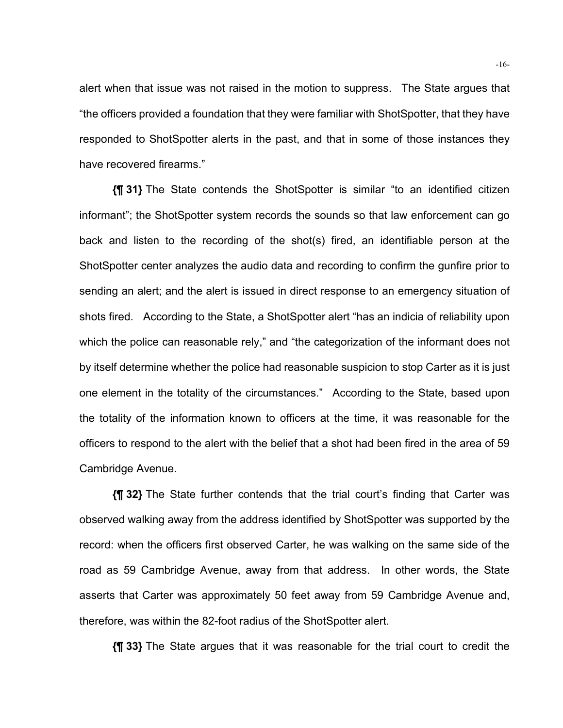alert when that issue was not raised in the motion to suppress. The State argues that "the officers provided a foundation that they were familiar with ShotSpotter, that they have responded to ShotSpotter alerts in the past, and that in some of those instances they have recovered firearms."

**{¶ 31}** The State contends the ShotSpotter is similar "to an identified citizen informant"; the ShotSpotter system records the sounds so that law enforcement can go back and listen to the recording of the shot(s) fired, an identifiable person at the ShotSpotter center analyzes the audio data and recording to confirm the gunfire prior to sending an alert; and the alert is issued in direct response to an emergency situation of shots fired. According to the State, a ShotSpotter alert "has an indicia of reliability upon which the police can reasonable rely," and "the categorization of the informant does not by itself determine whether the police had reasonable suspicion to stop Carter as it is just one element in the totality of the circumstances." According to the State, based upon the totality of the information known to officers at the time, it was reasonable for the officers to respond to the alert with the belief that a shot had been fired in the area of 59 Cambridge Avenue.

**{¶ 32}** The State further contends that the trial court's finding that Carter was observed walking away from the address identified by ShotSpotter was supported by the record: when the officers first observed Carter, he was walking on the same side of the road as 59 Cambridge Avenue, away from that address. In other words, the State asserts that Carter was approximately 50 feet away from 59 Cambridge Avenue and, therefore, was within the 82-foot radius of the ShotSpotter alert.

**{¶ 33}** The State argues that it was reasonable for the trial court to credit the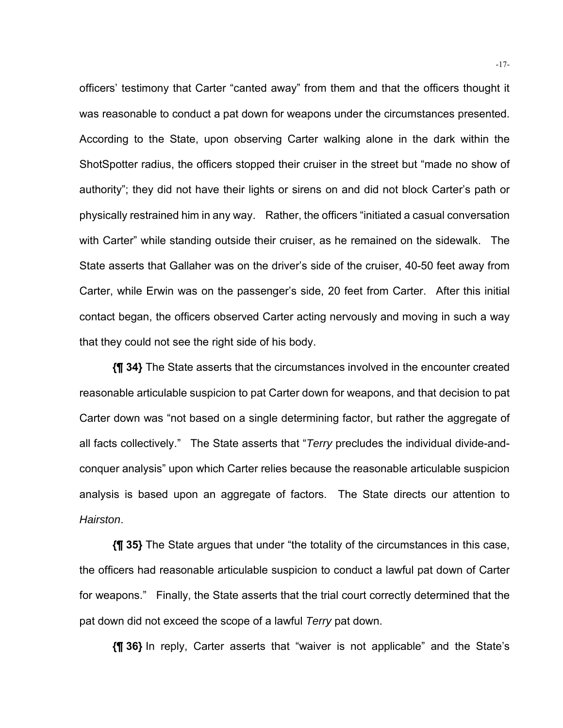officers' testimony that Carter "canted away" from them and that the officers thought it was reasonable to conduct a pat down for weapons under the circumstances presented. According to the State, upon observing Carter walking alone in the dark within the ShotSpotter radius, the officers stopped their cruiser in the street but "made no show of authority"; they did not have their lights or sirens on and did not block Carter's path or physically restrained him in any way. Rather, the officers "initiated a casual conversation with Carter" while standing outside their cruiser, as he remained on the sidewalk. The State asserts that Gallaher was on the driver's side of the cruiser, 40-50 feet away from Carter, while Erwin was on the passenger's side, 20 feet from Carter. After this initial contact began, the officers observed Carter acting nervously and moving in such a way that they could not see the right side of his body.

**{¶ 34}** The State asserts that the circumstances involved in the encounter created reasonable articulable suspicion to pat Carter down for weapons, and that decision to pat Carter down was "not based on a single determining factor, but rather the aggregate of all facts collectively." The State asserts that "*Terry* precludes the individual divide-andconquer analysis" upon which Carter relies because the reasonable articulable suspicion analysis is based upon an aggregate of factors. The State directs our attention to *Hairston*.

**{¶ 35}** The State argues that under "the totality of the circumstances in this case, the officers had reasonable articulable suspicion to conduct a lawful pat down of Carter for weapons." Finally, the State asserts that the trial court correctly determined that the pat down did not exceed the scope of a lawful *Terry* pat down.

**{¶ 36}** In reply, Carter asserts that "waiver is not applicable" and the State's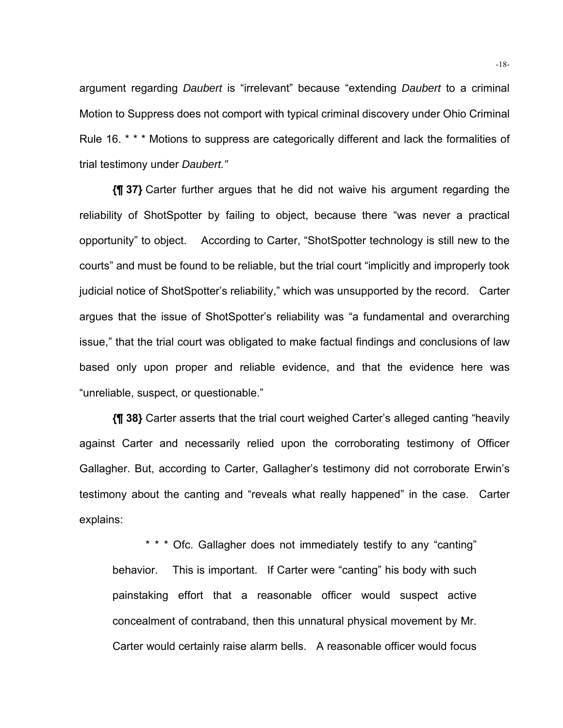argument regarding *Daubert* is "irrelevant" because "extending *Daubert* to a criminal Motion to Suppress does not comport with typical criminal discovery under Ohio Criminal Rule 16. \* \* \* Motions to suppress are categorically different and lack the formalities of trial testimony under *Daubert."*

**{¶ 37}** Carter further argues that he did not waive his argument regarding the reliability of ShotSpotter by failing to object, because there "was never a practical opportunity" to object. According to Carter, "ShotSpotter technology is still new to the courts" and must be found to be reliable, but the trial court "implicitly and improperly took judicial notice of ShotSpotter's reliability," which was unsupported by the record. Carter argues that the issue of ShotSpotter's reliability was "a fundamental and overarching issue," that the trial court was obligated to make factual findings and conclusions of law based only upon proper and reliable evidence, and that the evidence here was "unreliable, suspect, or questionable."

**{¶ 38}** Carter asserts that the trial court weighed Carter's alleged canting "heavily against Carter and necessarily relied upon the corroborating testimony of Officer Gallagher. But, according to Carter, Gallagher's testimony did not corroborate Erwin's testimony about the canting and "reveals what really happened" in the case. Carter explains:

\* \* \* Ofc. Gallagher does not immediately testify to any "canting" behavior. This is important. If Carter were "canting" his body with such painstaking effort that a reasonable officer would suspect active concealment of contraband, then this unnatural physical movement by Mr. Carter would certainly raise alarm bells. A reasonable officer would focus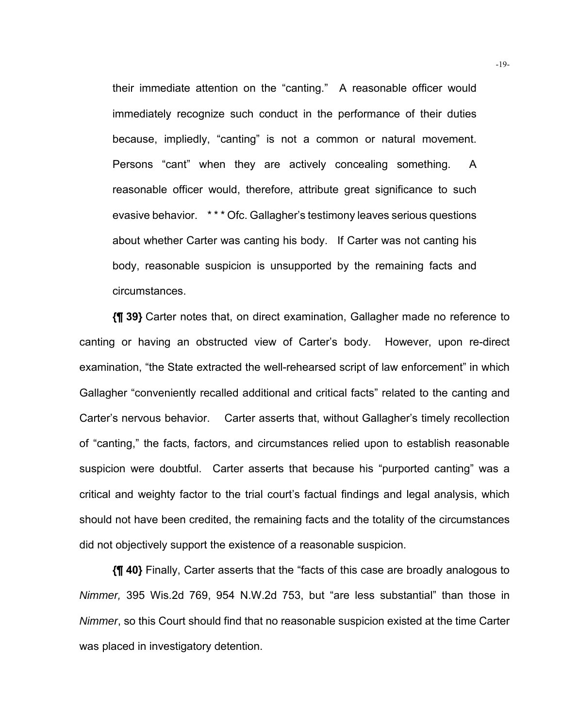their immediate attention on the "canting." A reasonable officer would immediately recognize such conduct in the performance of their duties because, impliedly, "canting" is not a common or natural movement. Persons "cant" when they are actively concealing something. A reasonable officer would, therefore, attribute great significance to such evasive behavior. \* \* \* Ofc. Gallagher's testimony leaves serious questions about whether Carter was canting his body. If Carter was not canting his body, reasonable suspicion is unsupported by the remaining facts and circumstances.

**{¶ 39}** Carter notes that, on direct examination, Gallagher made no reference to canting or having an obstructed view of Carter's body. However, upon re-direct examination, "the State extracted the well-rehearsed script of law enforcement" in which Gallagher "conveniently recalled additional and critical facts" related to the canting and Carter's nervous behavior. Carter asserts that, without Gallagher's timely recollection of "canting," the facts, factors, and circumstances relied upon to establish reasonable suspicion were doubtful. Carter asserts that because his "purported canting" was a critical and weighty factor to the trial court's factual findings and legal analysis, which should not have been credited, the remaining facts and the totality of the circumstances did not objectively support the existence of a reasonable suspicion.

**{¶ 40}** Finally, Carter asserts that the "facts of this case are broadly analogous to *Nimmer,* 395 Wis.2d 769, 954 N.W.2d 753, but "are less substantial" than those in *Nimmer*, so this Court should find that no reasonable suspicion existed at the time Carter was placed in investigatory detention.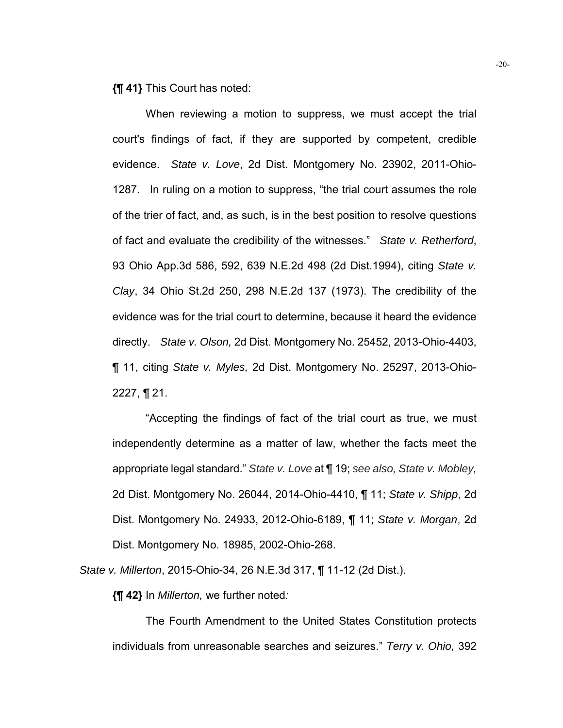**{¶ 41}** This Court has noted:

 When reviewing a motion to suppress, we must accept the trial court's findings of fact, if they are supported by competent, credible evidence. *State v. Love*, 2d Dist. Montgomery No. 23902, 2011-Ohio-1287. In ruling on a motion to suppress, "the trial court assumes the role of the trier of fact, and, as such, is in the best position to resolve questions of fact and evaluate the credibility of the witnesses." *State v. Retherford*, 93 Ohio App.3d 586, 592, 639 N.E.2d 498 (2d Dist.1994), citing *State v. Clay*, 34 Ohio St.2d 250, 298 N.E.2d 137 (1973). The credibility of the evidence was for the trial court to determine, because it heard the evidence directly. *State v. Olson,* 2d Dist. Montgomery No. 25452, 2013-Ohio-4403, ¶ 11, citing *State v. Myles,* 2d Dist. Montgomery No. 25297, 2013-Ohio- $2227, \P 21.$ 

"Accepting the findings of fact of the trial court as true, we must independently determine as a matter of law, whether the facts meet the appropriate legal standard." *State v. Love* at ¶ 19; *see also, State v. Mobley,* 2d Dist. Montgomery No. 26044, 2014-Ohio-4410, ¶ 11; *State v. Shipp*, 2d Dist. Montgomery No. 24933, 2012-Ohio-6189, ¶ 11; *State v. Morgan*, 2d Dist. Montgomery No. 18985, 2002-Ohio-268.

*State v. Millerton*, 2015-Ohio-34, 26 N.E.3d 317, ¶ 11-12 (2d Dist.).

**{¶ 42}** In *Millerton,* we further noted*:* 

The Fourth Amendment to the United States Constitution protects individuals from unreasonable searches and seizures." *Terry v. Ohio,* 392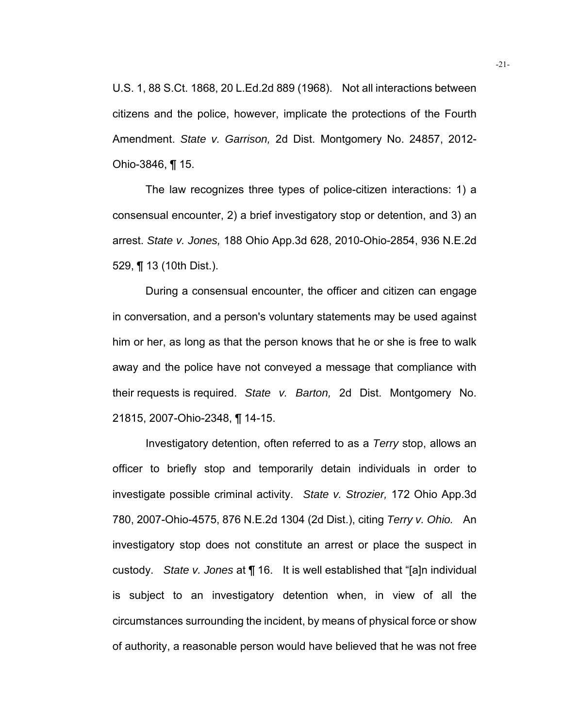U.S. 1, 88 S.Ct. 1868, 20 L.Ed.2d 889 (1968). Not all interactions between citizens and the police, however, implicate the protections of the Fourth Amendment. *State v. Garrison,* 2d Dist. Montgomery No. 24857, 2012- Ohio-3846, ¶ 15.

The law recognizes three types of police-citizen interactions: 1) a consensual encounter, 2) a brief investigatory stop or detention, and 3) an arrest. *State v. Jones,* 188 Ohio App.3d 628, 2010-Ohio-2854, 936 N.E.2d 529, ¶ 13 (10th Dist.).

During a consensual encounter, the officer and citizen can engage in conversation, and a person's voluntary statements may be used against him or her, as long as that the person knows that he or she is free to walk away and the police have not conveyed a message that compliance with their requests is required. *State v. Barton,* 2d Dist. Montgomery No. 21815, 2007-Ohio-2348, ¶ 14-15.

 Investigatory detention, often referred to as a *Terry* stop, allows an officer to briefly stop and temporarily detain individuals in order to investigate possible criminal activity. *State v. Strozier,* 172 Ohio App.3d 780, 2007-Ohio-4575, 876 N.E.2d 1304 (2d Dist.), citing *Terry v. Ohio.* An investigatory stop does not constitute an arrest or place the suspect in custody. *State v. Jones* at ¶ 16. It is well established that "[a]n individual is subject to an investigatory detention when, in view of all the circumstances surrounding the incident, by means of physical force or show of authority, a reasonable person would have believed that he was not free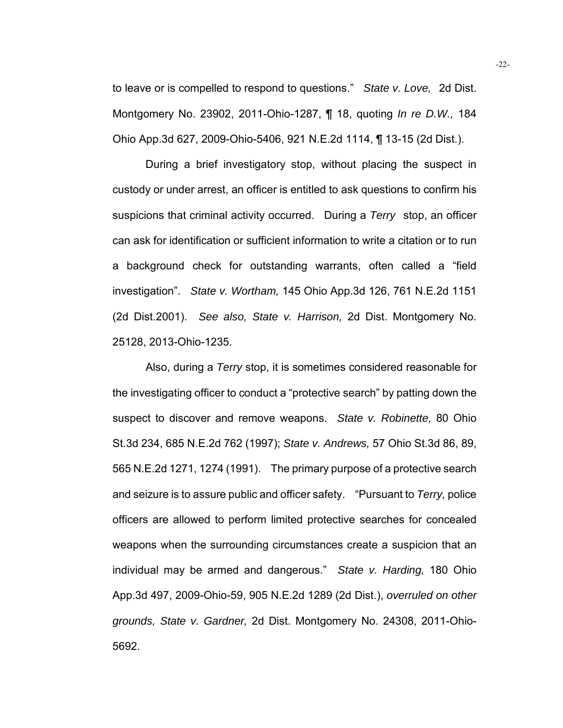to leave or is compelled to respond to questions." *State v. Love,* 2d Dist. Montgomery No. 23902, 2011-Ohio-1287, ¶ 18, quoting *In re D.W.,* 184 Ohio App.3d 627, 2009-Ohio-5406, 921 N.E.2d 1114, ¶ 13-15 (2d Dist.).

During a brief investigatory stop, without placing the suspect in custody or under arrest, an officer is entitled to ask questions to confirm his suspicions that criminal activity occurred. During a *Terry* stop, an officer can ask for identification or sufficient information to write a citation or to run a background check for outstanding warrants, often called a "field investigation". *State v. Wortham,* 145 Ohio App.3d 126, 761 N.E.2d 1151 (2d Dist.2001). *See also, State v. Harrison,* 2d Dist. Montgomery No. 25128, 2013-Ohio-1235.

Also, during a *Terry* stop, it is sometimes considered reasonable for the investigating officer to conduct a "protective search" by patting down the suspect to discover and remove weapons. *State v. Robinette,* 80 Ohio St.3d 234, 685 N.E.2d 762 (1997); *State v. Andrews,* 57 Ohio St.3d 86, 89, 565 N.E.2d 1271, 1274 (1991). The primary purpose of a protective search and seizure is to assure public and officer safety. "Pursuant to *Terry,* police officers are allowed to perform limited protective searches for concealed weapons when the surrounding circumstances create a suspicion that an individual may be armed and dangerous." *State v. Harding,* 180 Ohio App.3d 497, 2009-Ohio-59, 905 N.E.2d 1289 (2d Dist.), *overruled on other grounds, State v. Gardner,* 2d Dist. Montgomery No. 24308, 2011-Ohio-5692.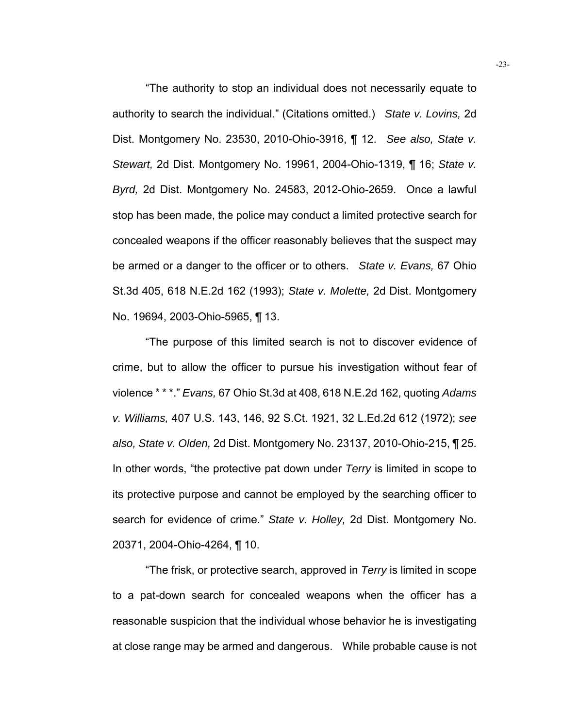"The authority to stop an individual does not necessarily equate to authority to search the individual." (Citations omitted.) *State v. Lovins,* 2d Dist. Montgomery No. 23530, 2010-Ohio-3916, ¶ 12. *See also, State v. Stewart,* 2d Dist. Montgomery No. 19961, 2004-Ohio-1319, ¶ 16; *State v. Byrd,* 2d Dist. Montgomery No. 24583, 2012-Ohio-2659. Once a lawful stop has been made, the police may conduct a limited protective search for concealed weapons if the officer reasonably believes that the suspect may be armed or a danger to the officer or to others. *State v. Evans,* 67 Ohio St.3d 405, 618 N.E.2d 162 (1993); *State v. Molette,* 2d Dist. Montgomery No. 19694, 2003-Ohio-5965, ¶ 13.

"The purpose of this limited search is not to discover evidence of crime, but to allow the officer to pursue his investigation without fear of violence \* \* \*." *Evans,* 67 Ohio St.3d at 408, 618 N.E.2d 162, quoting *Adams v. Williams,* 407 U.S. 143, 146, 92 S.Ct. 1921, 32 L.Ed.2d 612 (1972); *see also, State v. Olden,* 2d Dist. Montgomery No. 23137, 2010-Ohio-215, ¶ 25. In other words, "the protective pat down under *Terry* is limited in scope to its protective purpose and cannot be employed by the searching officer to search for evidence of crime." *State v. Holley,* 2d Dist. Montgomery No. 20371, 2004-Ohio-4264, ¶ 10.

"The frisk, or protective search, approved in *Terry* is limited in scope to a pat-down search for concealed weapons when the officer has a reasonable suspicion that the individual whose behavior he is investigating at close range may be armed and dangerous. While probable cause is not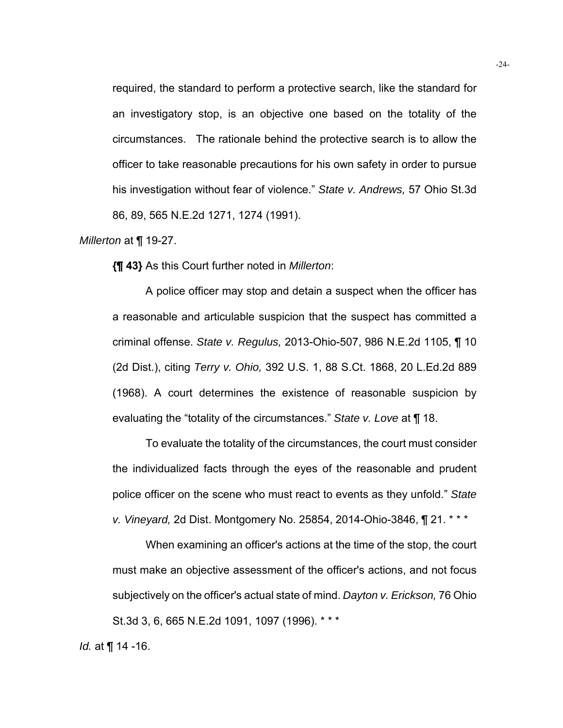required, the standard to perform a protective search, like the standard for an investigatory stop, is an objective one based on the totality of the circumstances. The rationale behind the protective search is to allow the officer to take reasonable precautions for his own safety in order to pursue his investigation without fear of violence." *State v. Andrews,* 57 Ohio St.3d 86, 89, 565 N.E.2d 1271, 1274 (1991).

## *Millerton* at ¶ 19-27.

**{¶ 43}** As this Court further noted in *Millerton*:

A police officer may stop and detain a suspect when the officer has a reasonable and articulable suspicion that the suspect has committed a criminal offense. *State v. Regulus,* 2013-Ohio-507, 986 N.E.2d 1105, ¶ 10 (2d Dist.), citing *Terry v. Ohio,* 392 U.S. 1, 88 S.Ct. 1868, 20 L.Ed.2d 889 (1968). A court determines the existence of reasonable suspicion by evaluating the "totality of the circumstances." *State v. Love* at ¶ 18.

 To evaluate the totality of the circumstances, the court must consider the individualized facts through the eyes of the reasonable and prudent police officer on the scene who must react to events as they unfold." *State v. Vineyard,* 2d Dist. Montgomery No. 25854, 2014-Ohio-3846, ¶ 21. \* \* \*

 When examining an officer's actions at the time of the stop, the court must make an objective assessment of the officer's actions, and not focus subjectively on the officer's actual state of mind. *Dayton v. Erickson,* 76 Ohio St.3d 3, 6, 665 N.E.2d 1091, 1097 (1996). \* \* \*

*Id.* at ¶ 14 -16.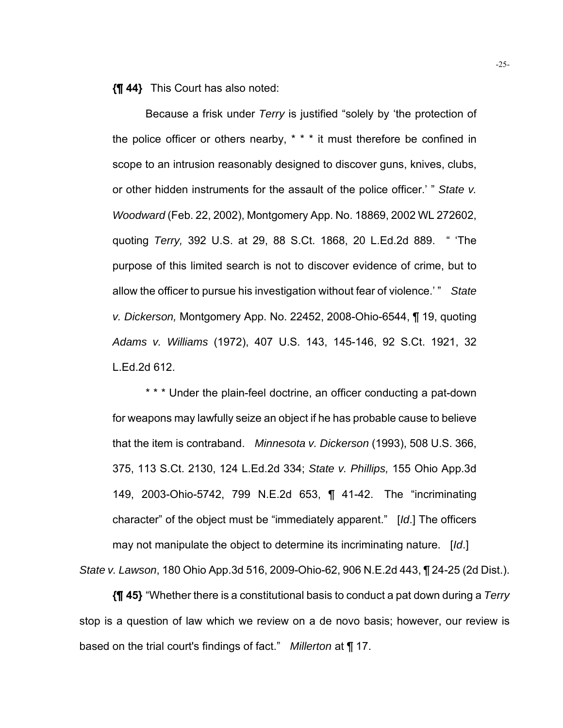**{¶ 44}** This Court has also noted:

Because a frisk under *Terry* is justified "solely by 'the protection of the police officer or others nearby, \* \* \* it must therefore be confined in scope to an intrusion reasonably designed to discover guns, knives, clubs, or other hidden instruments for the assault of the police officer.' " *State v. Woodward* (Feb. 22, 2002), Montgomery App. No. 18869, 2002 WL 272602, quoting *Terry,* 392 U.S. at 29, 88 S.Ct. 1868, 20 L.Ed.2d 889. " 'The purpose of this limited search is not to discover evidence of crime, but to allow the officer to pursue his investigation without fear of violence.' " *State v. Dickerson,* Montgomery App. No. 22452, 2008-Ohio-6544, ¶ 19, quoting *Adams v. Williams* (1972), 407 U.S. 143, 145-146, 92 S.Ct. 1921, 32 L.Ed.2d 612.

\* \* \* Under the plain-feel doctrine, an officer conducting a pat-down for weapons may lawfully seize an object if he has probable cause to believe that the item is contraband. *Minnesota v. Dickerson* (1993), 508 U.S. 366, 375, 113 S.Ct. 2130, 124 L.Ed.2d 334; *State v. Phillips,* 155 Ohio App.3d 149, 2003-Ohio-5742, 799 N.E.2d 653, ¶ 41-42. The "incriminating character" of the object must be "immediately apparent." [*Id*.] The officers may not manipulate the object to determine its incriminating nature. [*Id*.] *State v. Lawson*, 180 Ohio App.3d 516, 2009-Ohio-62, 906 N.E.2d 443, ¶ 24-25 (2d Dist.).

**{¶ 45}** "Whether there is a constitutional basis to conduct a pat down during a *Terry* stop is a question of law which we review on a de novo basis; however, our review is based on the trial court's findings of fact." *Millerton* at ¶ 17.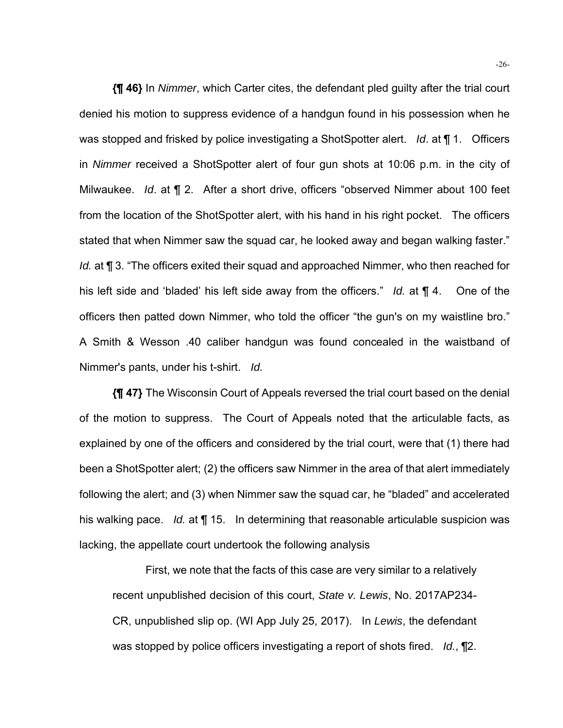**{¶ 46}** In *Nimmer*, which Carter cites, the defendant pled guilty after the trial court denied his motion to suppress evidence of a handgun found in his possession when he was stopped and frisked by police investigating a ShotSpotter alert. *Id*. at ¶ 1. Officers in *Nimmer* received a ShotSpotter alert of four gun shots at 10:06 p.m. in the city of Milwaukee. *Id*. at ¶ 2. After a short drive, officers "observed Nimmer about 100 feet from the location of the ShotSpotter alert, with his hand in his right pocket. The officers stated that when Nimmer saw the squad car, he looked away and began walking faster." *Id.* at **¶** 3. "The officers exited their squad and approached Nimmer, who then reached for his left side and 'bladed' his left side away from the officers." *Id.* at ¶ 4. One of the officers then patted down Nimmer, who told the officer "the gun's on my waistline bro." A Smith & Wesson .40 caliber handgun was found concealed in the waistband of Nimmer's pants, under his t-shirt. *Id.*

**{¶ 47}** The Wisconsin Court of Appeals reversed the trial court based on the denial of the motion to suppress. The Court of Appeals noted that the articulable facts, as explained by one of the officers and considered by the trial court, were that (1) there had been a ShotSpotter alert; (2) the officers saw Nimmer in the area of that alert immediately following the alert; and (3) when Nimmer saw the squad car, he "bladed" and accelerated his walking pace. *Id.* at ¶ 15. In determining that reasonable articulable suspicion was lacking, the appellate court undertook the following analysis

First, we note that the facts of this case are very similar to a relatively recent unpublished decision of this court, *State v. Lewis*, No. 2017AP234- CR, unpublished slip op. (WI App July 25, 2017). In *Lewis*, the defendant was stopped by police officers investigating a report of shots fired. *Id.*, ¶2.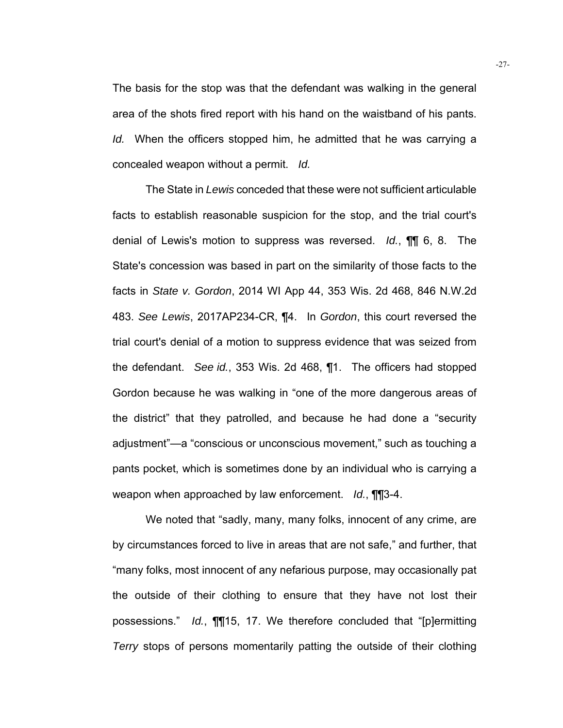The basis for the stop was that the defendant was walking in the general area of the shots fired report with his hand on the waistband of his pants. *Id.* When the officers stopped him, he admitted that he was carrying a concealed weapon without a permit. *Id.* 

 The State in *Lewis* conceded that these were not sufficient articulable facts to establish reasonable suspicion for the stop, and the trial court's denial of Lewis's motion to suppress was reversed. *Id.*, ¶¶ 6, 8. The State's concession was based in part on the similarity of those facts to the facts in *State v. Gordon*, 2014 WI App 44, 353 Wis. 2d 468, 846 N.W.2d 483. *See Lewis*, 2017AP234-CR, ¶4. In *Gordon*, this court reversed the trial court's denial of a motion to suppress evidence that was seized from the defendant. *See id.*, 353 Wis. 2d 468, ¶1. The officers had stopped Gordon because he was walking in "one of the more dangerous areas of the district" that they patrolled, and because he had done a "security adjustment"—a "conscious or unconscious movement," such as touching a pants pocket, which is sometimes done by an individual who is carrying a weapon when approached by law enforcement. *Id.*, ¶¶3-4.

 We noted that "sadly, many, many folks, innocent of any crime, are by circumstances forced to live in areas that are not safe," and further, that "many folks, most innocent of any nefarious purpose, may occasionally pat the outside of their clothing to ensure that they have not lost their possessions." *Id.*, ¶¶15, 17. We therefore concluded that "[p]ermitting *Terry* stops of persons momentarily patting the outside of their clothing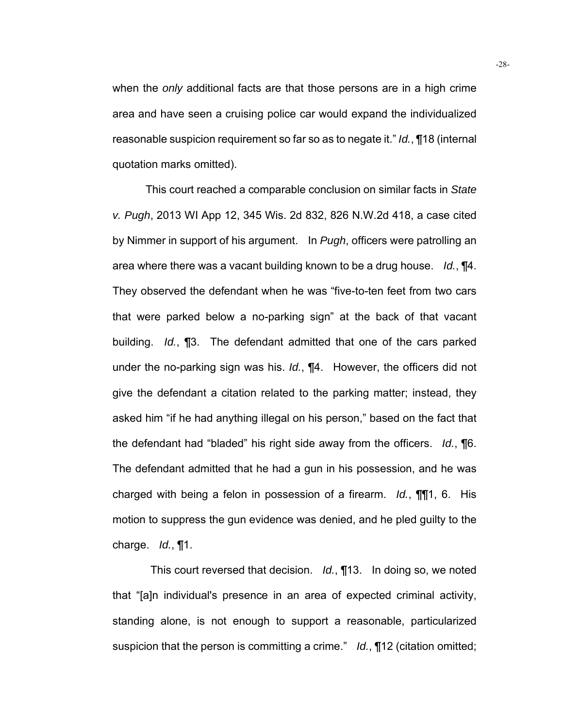when the *only* additional facts are that those persons are in a high crime area and have seen a cruising police car would expand the individualized reasonable suspicion requirement so far so as to negate it." *Id.*, ¶18 (internal quotation marks omitted).

 This court reached a comparable conclusion on similar facts in *State v. Pugh*, 2013 WI App 12, 345 Wis. 2d 832, 826 N.W.2d 418, a case cited by Nimmer in support of his argument. In *Pugh*, officers were patrolling an area where there was a vacant building known to be a drug house. *Id.*, ¶4. They observed the defendant when he was "five-to-ten feet from two cars that were parked below a no-parking sign" at the back of that vacant building. *Id.*, ¶3. The defendant admitted that one of the cars parked under the no-parking sign was his. *Id.*, ¶4. However, the officers did not give the defendant a citation related to the parking matter; instead, they asked him "if he had anything illegal on his person," based on the fact that the defendant had "bladed" his right side away from the officers. *Id.*, ¶6. The defendant admitted that he had a gun in his possession, and he was charged with being a felon in possession of a firearm. *Id.*, ¶¶1, 6. His motion to suppress the gun evidence was denied, and he pled guilty to the charge. *Id.*, ¶1.

 This court reversed that decision. *Id.*, ¶13. In doing so, we noted that "[a]n individual's presence in an area of expected criminal activity, standing alone, is not enough to support a reasonable, particularized suspicion that the person is committing a crime." *Id.*, ¶12 (citation omitted;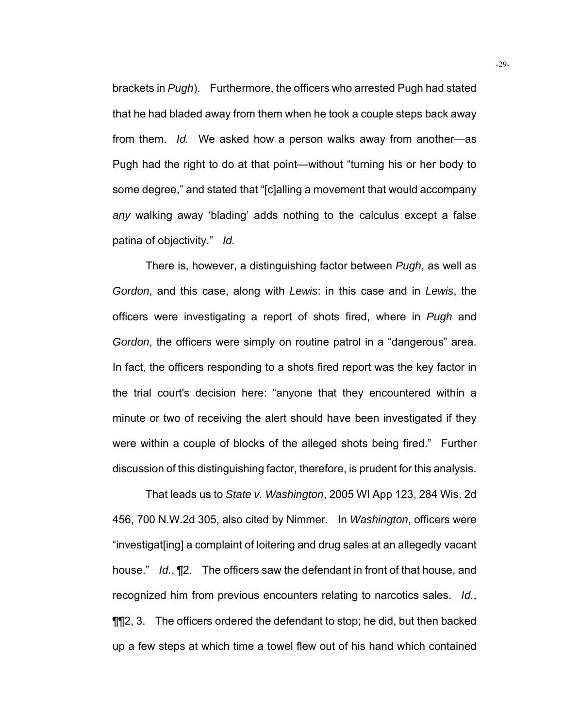brackets in *Pugh*). Furthermore, the officers who arrested Pugh had stated that he had bladed away from them when he took a couple steps back away from them. *Id.* We asked how a person walks away from another—as Pugh had the right to do at that point—without "turning his or her body to some degree," and stated that "[c]alling a movement that would accompany *any* walking away 'blading' adds nothing to the calculus except a false patina of objectivity." *Id.* 

 There is, however, a distinguishing factor between *Pugh*, as well as *Gordon*, and this case, along with *Lewis*: in this case and in *Lewis*, the officers were investigating a report of shots fired, where in *Pugh* and *Gordon*, the officers were simply on routine patrol in a "dangerous" area. In fact, the officers responding to a shots fired report was the key factor in the trial court's decision here: "anyone that they encountered within a minute or two of receiving the alert should have been investigated if they were within a couple of blocks of the alleged shots being fired." Further discussion of this distinguishing factor, therefore, is prudent for this analysis.

 That leads us to *State v. Washington*, 2005 WI App 123, 284 Wis. 2d 456, 700 N.W.2d 305, also cited by Nimmer. In *Washington*, officers were "investigat[ing] a complaint of loitering and drug sales at an allegedly vacant house." *Id.*, ¶2. The officers saw the defendant in front of that house, and recognized him from previous encounters relating to narcotics sales. *Id.*, ¶¶2, 3. The officers ordered the defendant to stop; he did, but then backed up a few steps at which time a towel flew out of his hand which contained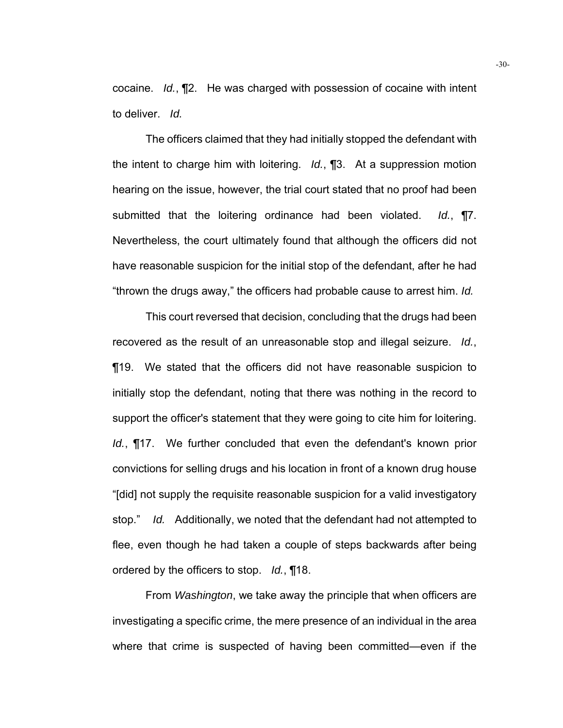cocaine. *Id.*, ¶2. He was charged with possession of cocaine with intent to deliver. *Id.* 

 The officers claimed that they had initially stopped the defendant with the intent to charge him with loitering. *Id.*, ¶3. At a suppression motion hearing on the issue, however, the trial court stated that no proof had been submitted that the loitering ordinance had been violated. *Id.*, ¶7. Nevertheless, the court ultimately found that although the officers did not have reasonable suspicion for the initial stop of the defendant, after he had "thrown the drugs away," the officers had probable cause to arrest him. *Id.* 

 This court reversed that decision, concluding that the drugs had been recovered as the result of an unreasonable stop and illegal seizure. *Id.*, ¶19. We stated that the officers did not have reasonable suspicion to initially stop the defendant, noting that there was nothing in the record to support the officer's statement that they were going to cite him for loitering. *Id.*, ¶17. We further concluded that even the defendant's known prior convictions for selling drugs and his location in front of a known drug house "[did] not supply the requisite reasonable suspicion for a valid investigatory stop." *Id.* Additionally, we noted that the defendant had not attempted to flee, even though he had taken a couple of steps backwards after being ordered by the officers to stop. *Id.*, ¶18.

 From *Washington*, we take away the principle that when officers are investigating a specific crime, the mere presence of an individual in the area where that crime is suspected of having been committed—even if the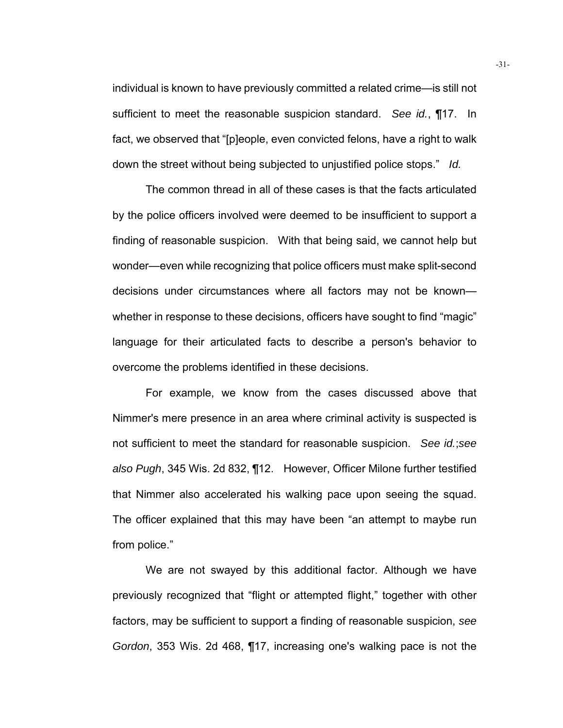individual is known to have previously committed a related crime—is still not sufficient to meet the reasonable suspicion standard. *See id.*, ¶17. In fact, we observed that "[p]eople, even convicted felons, have a right to walk down the street without being subjected to unjustified police stops." *Id.* 

 The common thread in all of these cases is that the facts articulated by the police officers involved were deemed to be insufficient to support a finding of reasonable suspicion. With that being said, we cannot help but wonder—even while recognizing that police officers must make split-second decisions under circumstances where all factors may not be known whether in response to these decisions, officers have sought to find "magic" language for their articulated facts to describe a person's behavior to overcome the problems identified in these decisions.

 For example, we know from the cases discussed above that Nimmer's mere presence in an area where criminal activity is suspected is not sufficient to meet the standard for reasonable suspicion. *See id.*;*see also Pugh*, 345 Wis. 2d 832, ¶12. However, Officer Milone further testified that Nimmer also accelerated his walking pace upon seeing the squad. The officer explained that this may have been "an attempt to maybe run from police."

 We are not swayed by this additional factor. Although we have previously recognized that "flight or attempted flight," together with other factors, may be sufficient to support a finding of reasonable suspicion, *see Gordon*, 353 Wis. 2d 468, ¶17, increasing one's walking pace is not the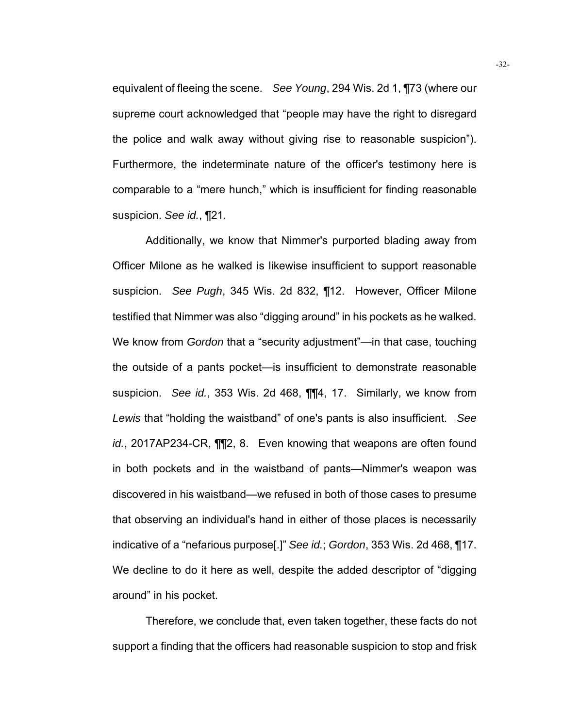equivalent of fleeing the scene. *See Young*, 294 Wis. 2d 1, ¶73 (where our supreme court acknowledged that "people may have the right to disregard the police and walk away without giving rise to reasonable suspicion"). Furthermore, the indeterminate nature of the officer's testimony here is comparable to a "mere hunch," which is insufficient for finding reasonable suspicion. *See id.*, ¶21.

 Additionally, we know that Nimmer's purported blading away from Officer Milone as he walked is likewise insufficient to support reasonable suspicion. *See Pugh*, 345 Wis. 2d 832, ¶12. However, Officer Milone testified that Nimmer was also "digging around" in his pockets as he walked. We know from *Gordon* that a "security adjustment"—in that case, touching the outside of a pants pocket—is insufficient to demonstrate reasonable suspicion. *See id.*, 353 Wis. 2d 468, ¶¶4, 17. Similarly, we know from *Lewis* that "holding the waistband" of one's pants is also insufficient. *See id.*, 2017AP234-CR, ¶¶2, 8. Even knowing that weapons are often found in both pockets and in the waistband of pants—Nimmer's weapon was discovered in his waistband—we refused in both of those cases to presume that observing an individual's hand in either of those places is necessarily indicative of a "nefarious purpose[.]" *See id.*; *Gordon*, 353 Wis. 2d 468, ¶17. We decline to do it here as well, despite the added descriptor of "digging around" in his pocket.

Therefore, we conclude that, even taken together, these facts do not support a finding that the officers had reasonable suspicion to stop and frisk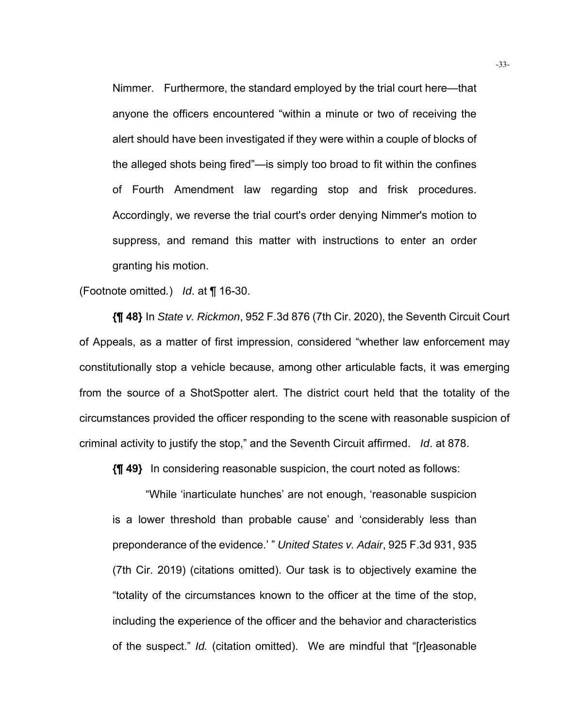Nimmer. Furthermore, the standard employed by the trial court here—that anyone the officers encountered "within a minute or two of receiving the alert should have been investigated if they were within a couple of blocks of the alleged shots being fired"—is simply too broad to fit within the confines of Fourth Amendment law regarding stop and frisk procedures. Accordingly, we reverse the trial court's order denying Nimmer's motion to suppress, and remand this matter with instructions to enter an order granting his motion.

(Footnote omitted*.*) *Id*. at ¶ 16-30.

**{¶ 48}** In *State v. Rickmon*, 952 F.3d 876 (7th Cir. 2020), the Seventh Circuit Court of Appeals, as a matter of first impression, considered "whether law enforcement may constitutionally stop a vehicle because, among other articulable facts, it was emerging from the source of a ShotSpotter alert. The district court held that the totality of the circumstances provided the officer responding to the scene with reasonable suspicion of criminal activity to justify the stop," and the Seventh Circuit affirmed. *Id*. at 878.

**{¶ 49}** In considering reasonable suspicion, the court noted as follows:

"While 'inarticulate hunches' are not enough, 'reasonable suspicion is a lower threshold than probable cause' and 'considerably less than preponderance of the evidence.' " *United States v. Adair*, 925 F.3d 931, 935 (7th Cir. 2019) (citations omitted). Our task is to objectively examine the "totality of the circumstances known to the officer at the time of the stop, including the experience of the officer and the behavior and characteristics of the suspect." *Id.* (citation omitted). We are mindful that "[r]easonable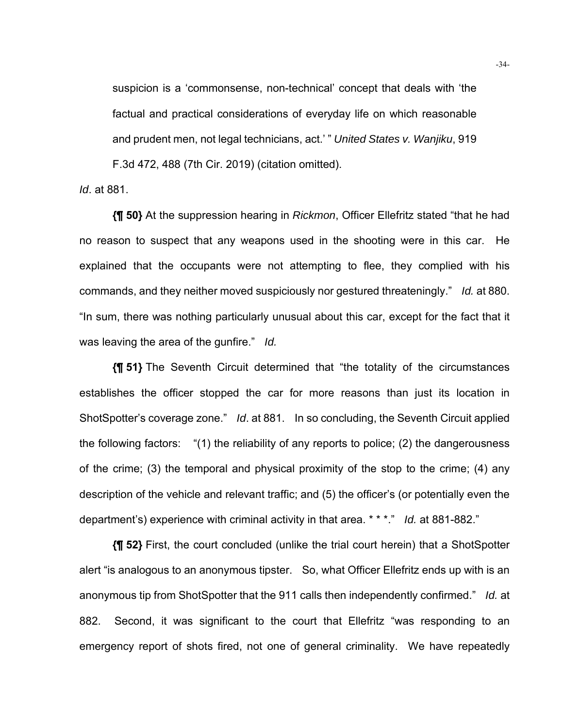suspicion is a 'commonsense, non-technical' concept that deals with 'the factual and practical considerations of everyday life on which reasonable and prudent men, not legal technicians, act.' " *United States v. Wanjiku*, 919 F.3d 472, 488 (7th Cir. 2019) (citation omitted).

*Id*. at 881.

**{¶ 50}** At the suppression hearing in *Rickmon*, Officer Ellefritz stated "that he had no reason to suspect that any weapons used in the shooting were in this car. He explained that the occupants were not attempting to flee, they complied with his commands, and they neither moved suspiciously nor gestured threateningly." *Id.* at 880. "In sum, there was nothing particularly unusual about this car, except for the fact that it was leaving the area of the gunfire." *Id.*

**{¶ 51}** The Seventh Circuit determined that "the totality of the circumstances establishes the officer stopped the car for more reasons than just its location in ShotSpotter's coverage zone." *Id*. at 881. In so concluding, the Seventh Circuit applied the following factors: "(1) the reliability of any reports to police; (2) the dangerousness of the crime; (3) the temporal and physical proximity of the stop to the crime; (4) any description of the vehicle and relevant traffic; and (5) the officer's (or potentially even the department's) experience with criminal activity in that area. \* \* \*." *Id.* at 881-882."

**{¶ 52}** First, the court concluded (unlike the trial court herein) that a ShotSpotter alert "is analogous to an anonymous tipster. So, what Officer Ellefritz ends up with is an anonymous tip from ShotSpotter that the 911 calls then independently confirmed." *Id.* at 882. Second, it was significant to the court that Ellefritz "was responding to an emergency report of shots fired, not one of general criminality. We have repeatedly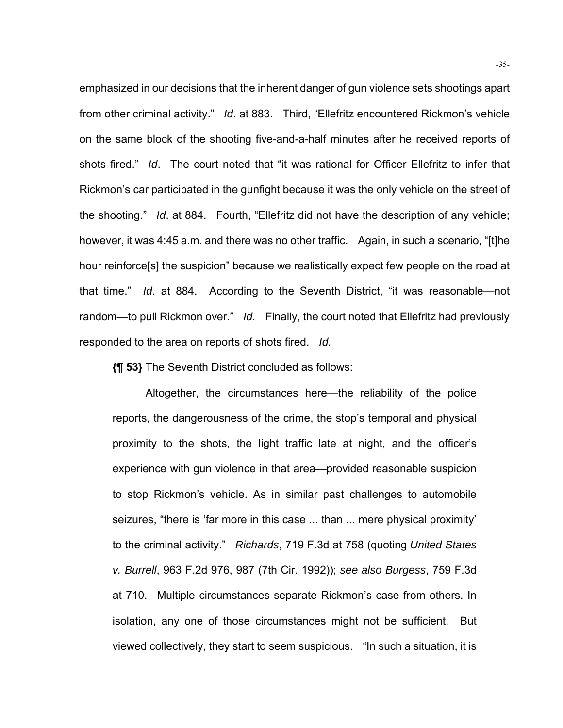emphasized in our decisions that the inherent danger of gun violence sets shootings apart from other criminal activity." *Id*. at 883. Third, "Ellefritz encountered Rickmon's vehicle on the same block of the shooting five-and-a-half minutes after he received reports of shots fired." *Id*. The court noted that "it was rational for Officer Ellefritz to infer that Rickmon's car participated in the gunfight because it was the only vehicle on the street of the shooting." *Id*. at 884. Fourth, "Ellefritz did not have the description of any vehicle; however, it was 4:45 a.m. and there was no other traffic. Again, in such a scenario, "[t]he hour reinforce[s] the suspicion" because we realistically expect few people on the road at that time." *Id*. at 884. According to the Seventh District, "it was reasonable—not random—to pull Rickmon over." *Id.* Finally, the court noted that Ellefritz had previously responded to the area on reports of shots fired. *Id.*

**{¶ 53}** The Seventh District concluded as follows:

Altogether, the circumstances here—the reliability of the police reports, the dangerousness of the crime, the stop's temporal and physical proximity to the shots, the light traffic late at night, and the officer's experience with gun violence in that area—provided reasonable suspicion to stop Rickmon's vehicle. As in similar past challenges to automobile seizures, "there is 'far more in this case ... than ... mere physical proximity' to the criminal activity." *Richards*, 719 F.3d at 758 (quoting *United States v. Burrell*, 963 F.2d 976, 987 (7th Cir. 1992)); *see also Burgess*, 759 F.3d at 710. Multiple circumstances separate Rickmon's case from others. In isolation, any one of those circumstances might not be sufficient. But viewed collectively, they start to seem suspicious. "In such a situation, it is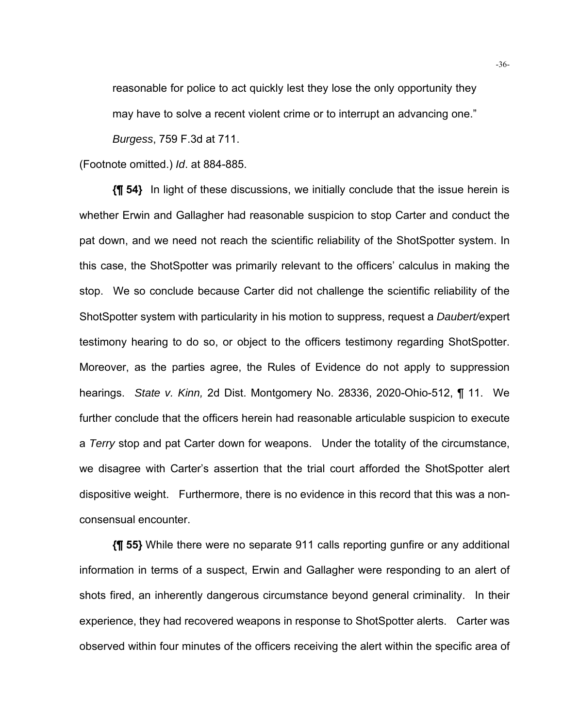reasonable for police to act quickly lest they lose the only opportunity they may have to solve a recent violent crime or to interrupt an advancing one."

*Burgess*, 759 F.3d at 711.

(Footnote omitted.) *Id*. at 884-885.

**{¶ 54}** In light of these discussions, we initially conclude that the issue herein is whether Erwin and Gallagher had reasonable suspicion to stop Carter and conduct the pat down, and we need not reach the scientific reliability of the ShotSpotter system. In this case, the ShotSpotter was primarily relevant to the officers' calculus in making the stop. We so conclude because Carter did not challenge the scientific reliability of the ShotSpotter system with particularity in his motion to suppress, request a *Daubert/*expert testimony hearing to do so, or object to the officers testimony regarding ShotSpotter. Moreover, as the parties agree, the Rules of Evidence do not apply to suppression hearings. *State v. Kinn,* 2d Dist. Montgomery No. 28336, 2020-Ohio-512, ¶ 11. We further conclude that the officers herein had reasonable articulable suspicion to execute a *Terry* stop and pat Carter down for weapons. Under the totality of the circumstance, we disagree with Carter's assertion that the trial court afforded the ShotSpotter alert dispositive weight. Furthermore, there is no evidence in this record that this was a nonconsensual encounter.

**{¶ 55}** While there were no separate 911 calls reporting gunfire or any additional information in terms of a suspect, Erwin and Gallagher were responding to an alert of shots fired, an inherently dangerous circumstance beyond general criminality. In their experience, they had recovered weapons in response to ShotSpotter alerts. Carter was observed within four minutes of the officers receiving the alert within the specific area of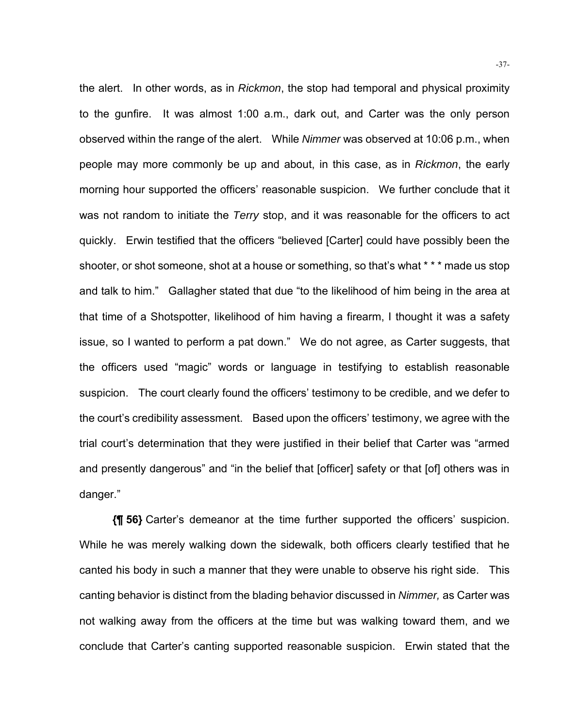the alert. In other words, as in *Rickmon*, the stop had temporal and physical proximity to the gunfire. It was almost 1:00 a.m., dark out, and Carter was the only person observed within the range of the alert. While *Nimmer* was observed at 10:06 p.m., when people may more commonly be up and about, in this case, as in *Rickmon*, the early morning hour supported the officers' reasonable suspicion. We further conclude that it was not random to initiate the *Terry* stop, and it was reasonable for the officers to act quickly. Erwin testified that the officers "believed [Carter] could have possibly been the shooter, or shot someone, shot at a house or something, so that's what \* \* \* made us stop and talk to him." Gallagher stated that due "to the likelihood of him being in the area at that time of a Shotspotter, likelihood of him having a firearm, I thought it was a safety issue, so I wanted to perform a pat down." We do not agree, as Carter suggests, that the officers used "magic" words or language in testifying to establish reasonable suspicion. The court clearly found the officers' testimony to be credible, and we defer to the court's credibility assessment. Based upon the officers' testimony, we agree with the trial court's determination that they were justified in their belief that Carter was "armed and presently dangerous" and "in the belief that [officer] safety or that [of] others was in danger."

**{¶ 56}** Carter's demeanor at the time further supported the officers' suspicion. While he was merely walking down the sidewalk, both officers clearly testified that he canted his body in such a manner that they were unable to observe his right side. This canting behavior is distinct from the blading behavior discussed in *Nimmer,* as Carter was not walking away from the officers at the time but was walking toward them, and we conclude that Carter's canting supported reasonable suspicion. Erwin stated that the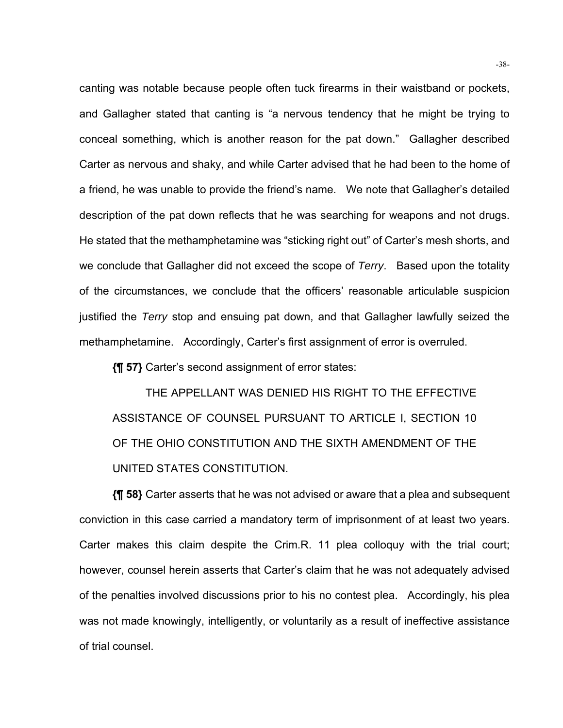canting was notable because people often tuck firearms in their waistband or pockets, and Gallagher stated that canting is "a nervous tendency that he might be trying to conceal something, which is another reason for the pat down." Gallagher described Carter as nervous and shaky, and while Carter advised that he had been to the home of a friend, he was unable to provide the friend's name. We note that Gallagher's detailed description of the pat down reflects that he was searching for weapons and not drugs. He stated that the methamphetamine was "sticking right out" of Carter's mesh shorts, and we conclude that Gallagher did not exceed the scope of *Terry*. Based upon the totality of the circumstances, we conclude that the officers' reasonable articulable suspicion justified the *Terry* stop and ensuing pat down, and that Gallagher lawfully seized the methamphetamine. Accordingly, Carter's first assignment of error is overruled.

**{¶ 57}** Carter's second assignment of error states:

THE APPELLANT WAS DENIED HIS RIGHT TO THE EFFECTIVE ASSISTANCE OF COUNSEL PURSUANT TO ARTICLE I, SECTION 10 OF THE OHIO CONSTITUTION AND THE SIXTH AMENDMENT OF THE UNITED STATES CONSTITUTION.

**{¶ 58}** Carter asserts that he was not advised or aware that a plea and subsequent conviction in this case carried a mandatory term of imprisonment of at least two years. Carter makes this claim despite the Crim.R. 11 plea colloquy with the trial court; however, counsel herein asserts that Carter's claim that he was not adequately advised of the penalties involved discussions prior to his no contest plea. Accordingly, his plea was not made knowingly, intelligently, or voluntarily as a result of ineffective assistance of trial counsel.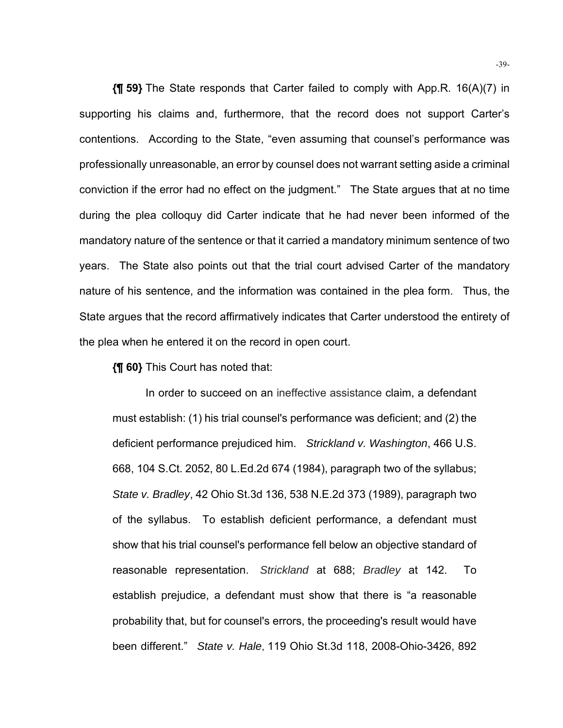**{¶ 59}** The State responds that Carter failed to comply with App.R. 16(A)(7) in supporting his claims and, furthermore, that the record does not support Carter's contentions. According to the State, "even assuming that counsel's performance was professionally unreasonable, an error by counsel does not warrant setting aside a criminal conviction if the error had no effect on the judgment." The State argues that at no time during the plea colloquy did Carter indicate that he had never been informed of the mandatory nature of the sentence or that it carried a mandatory minimum sentence of two years. The State also points out that the trial court advised Carter of the mandatory nature of his sentence, and the information was contained in the plea form. Thus, the State argues that the record affirmatively indicates that Carter understood the entirety of the plea when he entered it on the record in open court.

**{¶ 60}** This Court has noted that:

In order to succeed on an ineffective assistance claim, a defendant must establish: (1) his trial counsel's performance was deficient; and (2) the deficient performance prejudiced him. *Strickland v. Washington*, 466 U.S. 668, 104 S.Ct. 2052, 80 L.Ed.2d 674 (1984), paragraph two of the syllabus; *State v. Bradley*, 42 Ohio St.3d 136, 538 N.E.2d 373 (1989), paragraph two of the syllabus. To establish deficient performance, a defendant must show that his trial counsel's performance fell below an objective standard of reasonable representation. *Strickland* at 688; *Bradley* at 142. To establish prejudice, a defendant must show that there is "a reasonable probability that, but for counsel's errors, the proceeding's result would have been different." *State v. Hale*, 119 Ohio St.3d 118, 2008-Ohio-3426, 892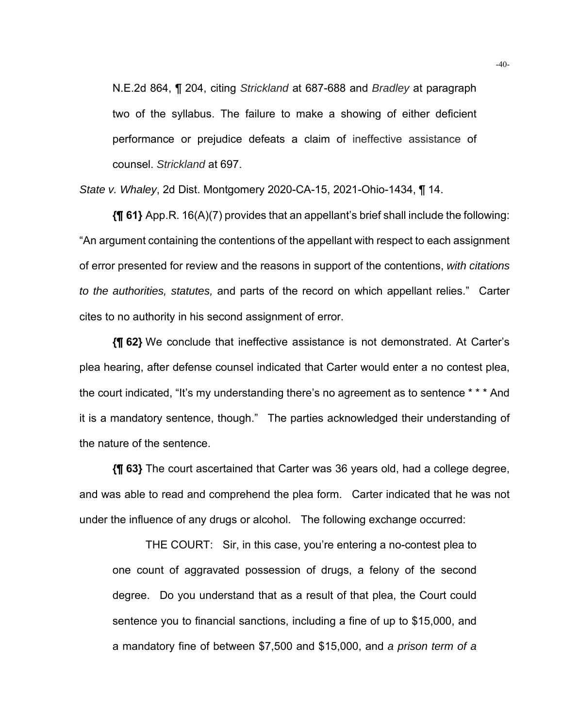N.E.2d 864, ¶ 204, citing *Strickland* at 687-688 and *Bradley* at paragraph two of the syllabus. The failure to make a showing of either deficient performance or prejudice defeats a claim of ineffective assistance of counsel. *Strickland* at 697.

*State v. Whaley*, 2d Dist. Montgomery 2020-CA-15, 2021-Ohio-1434, ¶ 14.

**{¶ 61}** App.R. 16(A)(7) provides that an appellant's brief shall include the following: "An argument containing the contentions of the appellant with respect to each assignment of error presented for review and the reasons in support of the contentions, *with citations to the authorities, statutes,* and parts of the record on which appellant relies." Carter cites to no authority in his second assignment of error.

**{¶ 62}** We conclude that ineffective assistance is not demonstrated. At Carter's plea hearing, after defense counsel indicated that Carter would enter a no contest plea, the court indicated, "It's my understanding there's no agreement as to sentence \* \* \* And it is a mandatory sentence, though." The parties acknowledged their understanding of the nature of the sentence.

**{¶ 63}** The court ascertained that Carter was 36 years old, had a college degree, and was able to read and comprehend the plea form. Carter indicated that he was not under the influence of any drugs or alcohol. The following exchange occurred:

THE COURT: Sir, in this case, you're entering a no-contest plea to one count of aggravated possession of drugs, a felony of the second degree. Do you understand that as a result of that plea, the Court could sentence you to financial sanctions, including a fine of up to \$15,000, and a mandatory fine of between \$7,500 and \$15,000, and *a prison term of a*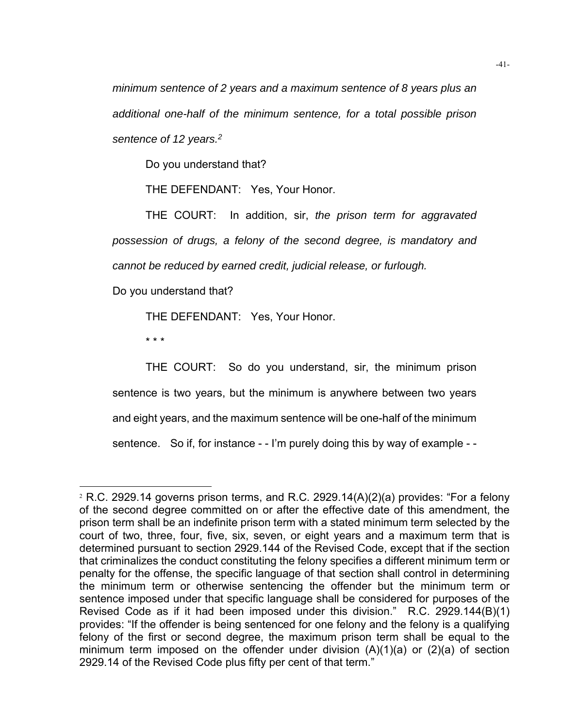*minimum sentence of 2 years and a maximum sentence of 8 years plus an additional one-half of the minimum sentence, for a total possible prison sentence of 12 years.2*

Do you understand that?

THE DEFENDANT: Yes, Your Honor.

THE COURT: In addition, sir, *the prison term for aggravated possession of drugs, a felony of the second degree, is mandatory and cannot be reduced by earned credit, judicial release, or furlough.* 

Do you understand that?

THE DEFENDANT: Yes, Your Honor.

\* \* \*

THE COURT: So do you understand, sir, the minimum prison sentence is two years, but the minimum is anywhere between two years and eight years, and the maximum sentence will be one-half of the minimum sentence. So if, for instance - - I'm purely doing this by way of example - -

 $2$  R.C. 2929.14 governs prison terms, and R.C. 2929.14(A)(2)(a) provides: "For a felony of the second degree committed on or after the effective date of this amendment, the prison term shall be an indefinite prison term with a stated minimum term selected by the court of two, three, four, five, six, seven, or eight years and a maximum term that is determined pursuant to section 2929.144 of the Revised Code, except that if the section that criminalizes the conduct constituting the felony specifies a different minimum term or penalty for the offense, the specific language of that section shall control in determining the minimum term or otherwise sentencing the offender but the minimum term or sentence imposed under that specific language shall be considered for purposes of the Revised Code as if it had been imposed under this division." R.C. 2929.144(B)(1) provides: "If the offender is being sentenced for one felony and the felony is a qualifying felony of the first or second degree, the maximum prison term shall be equal to the minimum term imposed on the offender under division (A)(1)(a) or (2)(a) of section 2929.14 of the Revised Code plus fifty per cent of that term."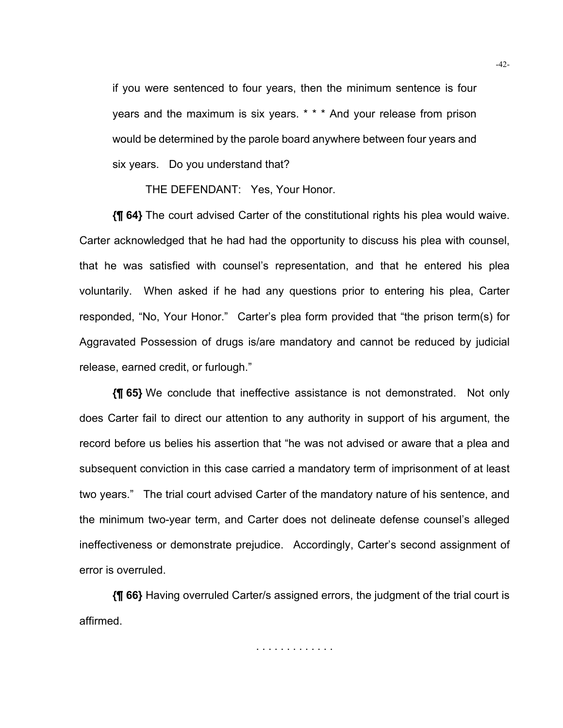if you were sentenced to four years, then the minimum sentence is four years and the maximum is six years. \* \* \* And your release from prison would be determined by the parole board anywhere between four years and six years. Do you understand that?

THE DEFENDANT: Yes, Your Honor.

**{¶ 64}** The court advised Carter of the constitutional rights his plea would waive. Carter acknowledged that he had had the opportunity to discuss his plea with counsel, that he was satisfied with counsel's representation, and that he entered his plea voluntarily. When asked if he had any questions prior to entering his plea, Carter responded, "No, Your Honor." Carter's plea form provided that "the prison term(s) for Aggravated Possession of drugs is/are mandatory and cannot be reduced by judicial release, earned credit, or furlough."

**{¶ 65}** We conclude that ineffective assistance is not demonstrated. Not only does Carter fail to direct our attention to any authority in support of his argument, the record before us belies his assertion that "he was not advised or aware that a plea and subsequent conviction in this case carried a mandatory term of imprisonment of at least two years." The trial court advised Carter of the mandatory nature of his sentence, and the minimum two-year term, and Carter does not delineate defense counsel's alleged ineffectiveness or demonstrate prejudice. Accordingly, Carter's second assignment of error is overruled.

**{¶ 66}** Having overruled Carter/s assigned errors, the judgment of the trial court is affirmed.

. . . . . . . . . . . . .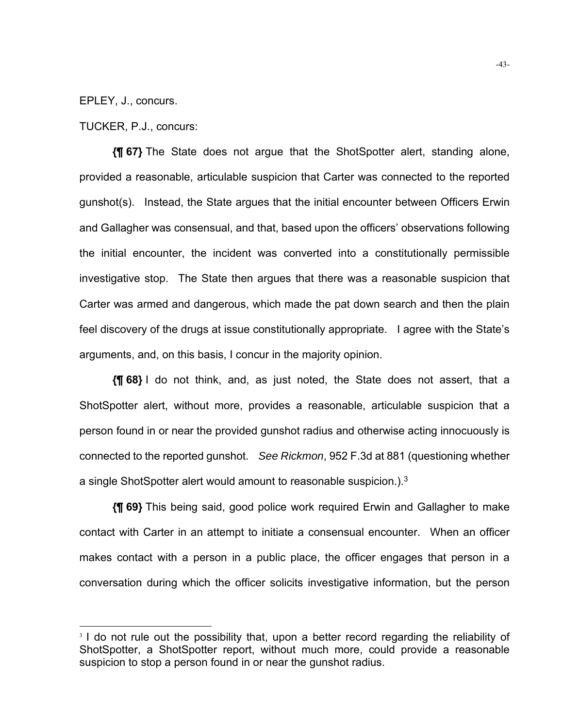EPLEY, J., concurs.

TUCKER, P.J., concurs:

**{¶ 67}** The State does not argue that the ShotSpotter alert, standing alone, provided a reasonable, articulable suspicion that Carter was connected to the reported gunshot(s). Instead, the State argues that the initial encounter between Officers Erwin and Gallagher was consensual, and that, based upon the officers' observations following the initial encounter, the incident was converted into a constitutionally permissible investigative stop. The State then argues that there was a reasonable suspicion that Carter was armed and dangerous, which made the pat down search and then the plain feel discovery of the drugs at issue constitutionally appropriate. I agree with the State's arguments, and, on this basis, I concur in the majority opinion.

**{¶ 68}** I do not think, and, as just noted, the State does not assert, that a ShotSpotter alert, without more, provides a reasonable, articulable suspicion that a person found in or near the provided gunshot radius and otherwise acting innocuously is connected to the reported gunshot. *See Rickmon*, 952 F.3d at 881 (questioning whether a single ShotSpotter alert would amount to reasonable suspicion.). $3 \overline{ }$ 

**{¶ 69}** This being said, good police work required Erwin and Gallagher to make contact with Carter in an attempt to initiate a consensual encounter. When an officer makes contact with a person in a public place, the officer engages that person in a conversation during which the officer solicits investigative information, but the person

<sup>&</sup>lt;sup>3</sup> I do not rule out the possibility that, upon a better record regarding the reliability of ShotSpotter, a ShotSpotter report, without much more, could provide a reasonable suspicion to stop a person found in or near the gunshot radius.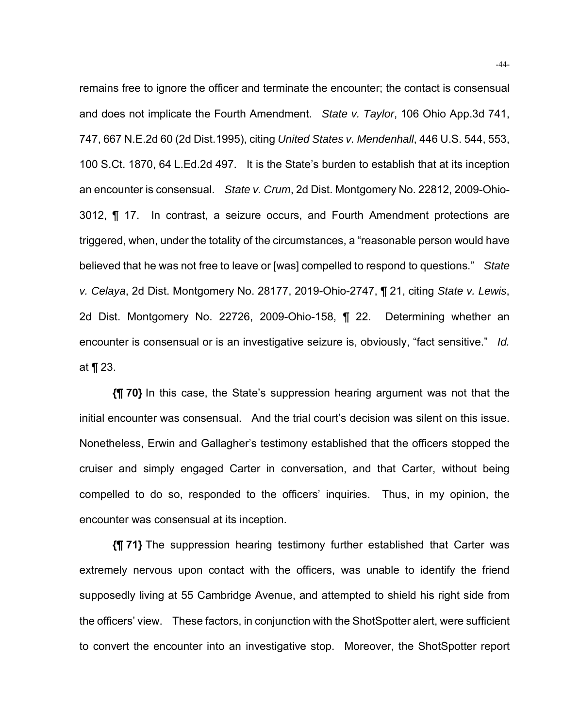remains free to ignore the officer and terminate the encounter; the contact is consensual and does not implicate the Fourth Amendment. *State v. Taylor*, 106 Ohio App.3d 741, 747, 667 N.E.2d 60 (2d Dist.1995), citing *United States v. Mendenhall*, 446 U.S. 544, 553, 100 S.Ct. 1870, 64 L.Ed.2d 497. It is the State's burden to establish that at its inception an encounter is consensual. *State v. Crum*, 2d Dist. Montgomery No. 22812, 2009-Ohio-3012, ¶ 17. In contrast, a seizure occurs, and Fourth Amendment protections are triggered, when, under the totality of the circumstances, a "reasonable person would have believed that he was not free to leave or [was] compelled to respond to questions." *State v. Celaya*, 2d Dist. Montgomery No. 28177, 2019-Ohio-2747, ¶ 21, citing *State v. Lewis*, 2d Dist. Montgomery No. 22726, 2009-Ohio-158, ¶ 22. Determining whether an encounter is consensual or is an investigative seizure is, obviously, "fact sensitive." *Id.*  at ¶ 23.

**{¶ 70}** In this case, the State's suppression hearing argument was not that the initial encounter was consensual. And the trial court's decision was silent on this issue. Nonetheless, Erwin and Gallagher's testimony established that the officers stopped the cruiser and simply engaged Carter in conversation, and that Carter, without being compelled to do so, responded to the officers' inquiries. Thus, in my opinion, the encounter was consensual at its inception.

**{¶ 71}** The suppression hearing testimony further established that Carter was extremely nervous upon contact with the officers, was unable to identify the friend supposedly living at 55 Cambridge Avenue, and attempted to shield his right side from the officers' view. These factors, in conjunction with the ShotSpotter alert, were sufficient to convert the encounter into an investigative stop. Moreover, the ShotSpotter report